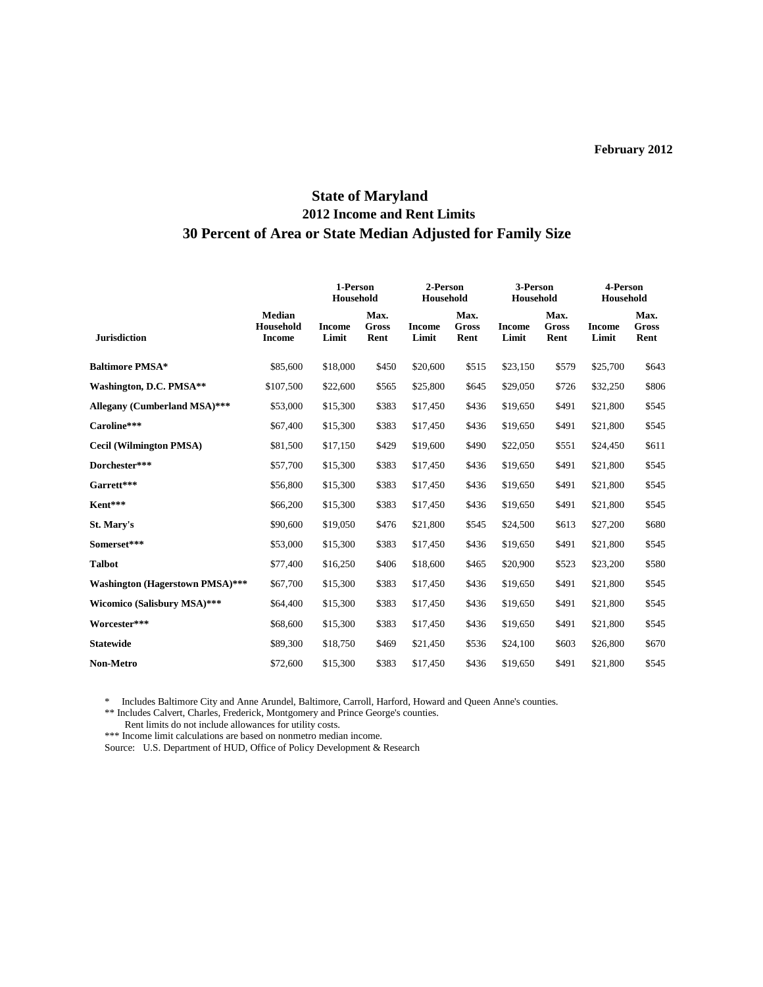## **State of Maryland 2012 Income and Rent Limits 30 Percent of Area or State Median Adjusted for Family Size**

|                                        |                                             | 1-Person<br>Household  |                       | 2-Person<br>Household  |                              | 3-Person<br>Household  |                              | 4-Person<br>Household  |                              |
|----------------------------------------|---------------------------------------------|------------------------|-----------------------|------------------------|------------------------------|------------------------|------------------------------|------------------------|------------------------------|
| <b>Jurisdiction</b>                    | <b>Median</b><br>Household<br><b>Income</b> | <b>Income</b><br>Limit | Max.<br>Gross<br>Rent | <b>Income</b><br>Limit | Max.<br><b>Gross</b><br>Rent | <b>Income</b><br>Limit | Max.<br><b>Gross</b><br>Rent | <b>Income</b><br>Limit | Max.<br><b>Gross</b><br>Rent |
| <b>Baltimore PMSA*</b>                 | \$85,600                                    | \$18,000               | \$450                 | \$20,600               | \$515                        | \$23,150               | \$579                        | \$25,700               | \$643                        |
| Washington, D.C. PMSA**                | \$107,500                                   | \$22,600               | \$565                 | \$25,800               | \$645                        | \$29,050               | \$726                        | \$32,250               | \$806                        |
| Allegany (Cumberland MSA)***           | \$53,000                                    | \$15,300               | \$383                 | \$17,450               | \$436                        | \$19,650               | \$491                        | \$21,800               | \$545                        |
| Caroline***                            | \$67,400                                    | \$15,300               | \$383                 | \$17,450               | \$436                        | \$19,650               | \$491                        | \$21,800               | \$545                        |
| <b>Cecil (Wilmington PMSA)</b>         | \$81,500                                    | \$17,150               | \$429                 | \$19,600               | \$490                        | \$22,050               | \$551                        | \$24,450               | \$611                        |
| Dorchester***                          | \$57,700                                    | \$15,300               | \$383                 | \$17,450               | \$436                        | \$19,650               | \$491                        | \$21,800               | \$545                        |
| Garrett***                             | \$56,800                                    | \$15,300               | \$383                 | \$17,450               | \$436                        | \$19,650               | \$491                        | \$21,800               | \$545                        |
| Kent***                                | \$66,200                                    | \$15,300               | \$383                 | \$17,450               | \$436                        | \$19,650               | \$491                        | \$21,800               | \$545                        |
| St. Mary's                             | \$90,600                                    | \$19,050               | \$476                 | \$21,800               | \$545                        | \$24,500               | \$613                        | \$27,200               | \$680                        |
| Somerset***                            | \$53,000                                    | \$15,300               | \$383                 | \$17,450               | \$436                        | \$19,650               | \$491                        | \$21,800               | \$545                        |
| <b>Talbot</b>                          | \$77,400                                    | \$16,250               | \$406                 | \$18,600               | \$465                        | \$20,900               | \$523                        | \$23,200               | \$580                        |
| <b>Washington (Hagerstown PMSA)***</b> | \$67,700                                    | \$15,300               | \$383                 | \$17,450               | \$436                        | \$19,650               | \$491                        | \$21,800               | \$545                        |
| Wicomico (Salisbury MSA)***            | \$64,400                                    | \$15,300               | \$383                 | \$17,450               | \$436                        | \$19,650               | \$491                        | \$21,800               | \$545                        |
| Worcester***                           | \$68,600                                    | \$15,300               | \$383                 | \$17,450               | \$436                        | \$19,650               | \$491                        | \$21,800               | \$545                        |
| <b>Statewide</b>                       | \$89,300                                    | \$18,750               | \$469                 | \$21,450               | \$536                        | \$24,100               | \$603                        | \$26,800               | \$670                        |
| <b>Non-Metro</b>                       | \$72,600                                    | \$15,300               | \$383                 | \$17,450               | \$436                        | \$19,650               | \$491                        | \$21,800               | \$545                        |

\* Includes Baltimore City and Anne Arundel, Baltimore, Carroll, Harford, Howard and Queen Anne's counties.

\*\* Includes Calvert, Charles, Frederick, Montgomery and Prince George's counties.

Rent limits do not include allowances for utility costs.

\*\*\* Income limit calculations are based on nonmetro median income.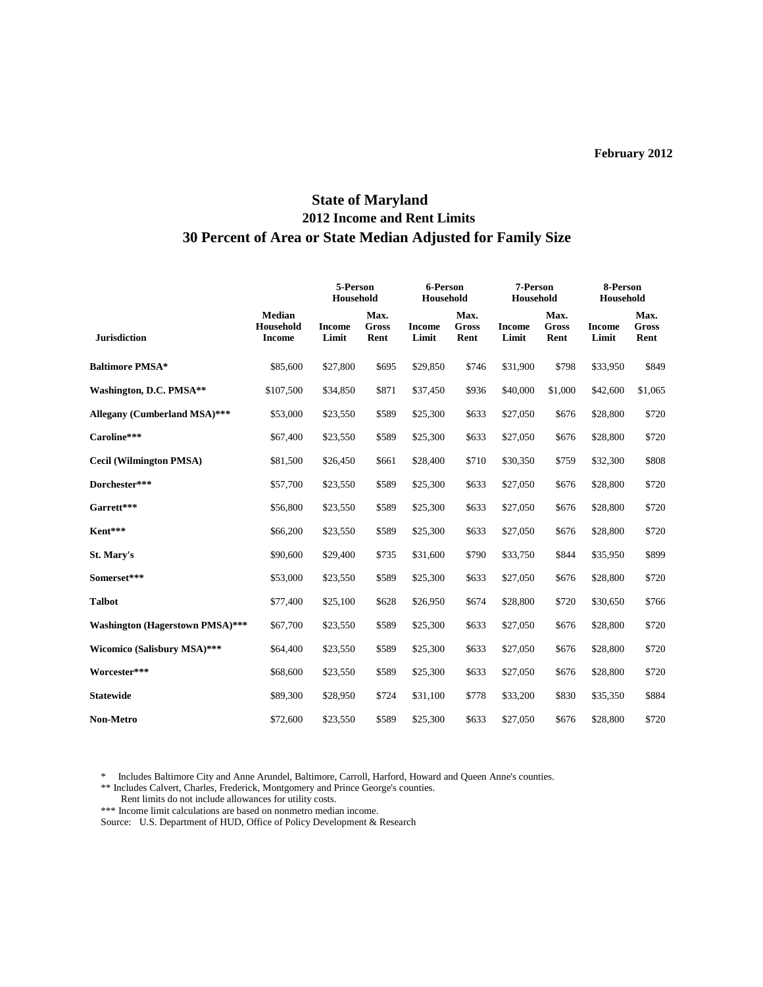# **State of Maryland 2012 Income and Rent Limits 30 Percent of Area or State Median Adjusted for Family Size**

|                                        |                                             | 5-Person<br>Household  |                              | 6-Person<br>Household  |                              | 7-Person<br>Household  |                              | 8-Person<br>Household  |                              |
|----------------------------------------|---------------------------------------------|------------------------|------------------------------|------------------------|------------------------------|------------------------|------------------------------|------------------------|------------------------------|
| <b>Jurisdiction</b>                    | <b>Median</b><br>Household<br><b>Income</b> | <b>Income</b><br>Limit | Max.<br><b>Gross</b><br>Rent | <b>Income</b><br>Limit | Max.<br><b>Gross</b><br>Rent | <b>Income</b><br>Limit | Max.<br><b>Gross</b><br>Rent | <b>Income</b><br>Limit | Max.<br><b>Gross</b><br>Rent |
| <b>Baltimore PMSA*</b>                 | \$85,600                                    | \$27,800               | \$695                        | \$29,850               | \$746                        | \$31,900               | \$798                        | \$33,950               | \$849                        |
| Washington, D.C. PMSA**                | \$107,500                                   | \$34,850               | \$871                        | \$37,450               | \$936                        | \$40,000               | \$1,000                      | \$42,600               | \$1,065                      |
| <b>Allegany (Cumberland MSA)***</b>    | \$53,000                                    | \$23,550               | \$589                        | \$25,300               | \$633                        | \$27,050               | \$676                        | \$28,800               | \$720                        |
| Caroline***                            | \$67,400                                    | \$23,550               | \$589                        | \$25,300               | \$633                        | \$27,050               | \$676                        | \$28,800               | \$720                        |
| <b>Cecil (Wilmington PMSA)</b>         | \$81,500                                    | \$26,450               | \$661                        | \$28,400               | \$710                        | \$30,350               | \$759                        | \$32,300               | \$808                        |
| Dorchester***                          | \$57,700                                    | \$23,550               | \$589                        | \$25,300               | \$633                        | \$27,050               | \$676                        | \$28,800               | \$720                        |
| Garrett***                             | \$56,800                                    | \$23,550               | \$589                        | \$25,300               | \$633                        | \$27,050               | \$676                        | \$28,800               | \$720                        |
| Kent***                                | \$66,200                                    | \$23,550               | \$589                        | \$25,300               | \$633                        | \$27,050               | \$676                        | \$28,800               | \$720                        |
| St. Mary's                             | \$90,600                                    | \$29,400               | \$735                        | \$31,600               | \$790                        | \$33,750               | \$844                        | \$35,950               | \$899                        |
| Somerset***                            | \$53,000                                    | \$23,550               | \$589                        | \$25,300               | \$633                        | \$27,050               | \$676                        | \$28,800               | \$720                        |
| <b>Talbot</b>                          | \$77,400                                    | \$25,100               | \$628                        | \$26,950               | \$674                        | \$28,800               | \$720                        | \$30,650               | \$766                        |
| <b>Washington (Hagerstown PMSA)***</b> | \$67,700                                    | \$23,550               | \$589                        | \$25,300               | \$633                        | \$27,050               | \$676                        | \$28,800               | \$720                        |
| <b>Wicomico (Salisbury MSA)***</b>     | \$64,400                                    | \$23,550               | \$589                        | \$25,300               | \$633                        | \$27,050               | \$676                        | \$28,800               | \$720                        |
| Worcester***                           | \$68,600                                    | \$23,550               | \$589                        | \$25,300               | \$633                        | \$27,050               | \$676                        | \$28,800               | \$720                        |
| <b>Statewide</b>                       | \$89,300                                    | \$28,950               | \$724                        | \$31,100               | \$778                        | \$33,200               | \$830                        | \$35,350               | \$884                        |
| <b>Non-Metro</b>                       | \$72,600                                    | \$23,550               | \$589                        | \$25,300               | \$633                        | \$27,050               | \$676                        | \$28,800               | \$720                        |

\* Includes Baltimore City and Anne Arundel, Baltimore, Carroll, Harford, Howard and Queen Anne's counties.

\*\* Includes Calvert, Charles, Frederick, Montgomery and Prince George's counties.

Rent limits do not include allowances for utility costs.

\*\*\* Income limit calculations are based on nonmetro median income.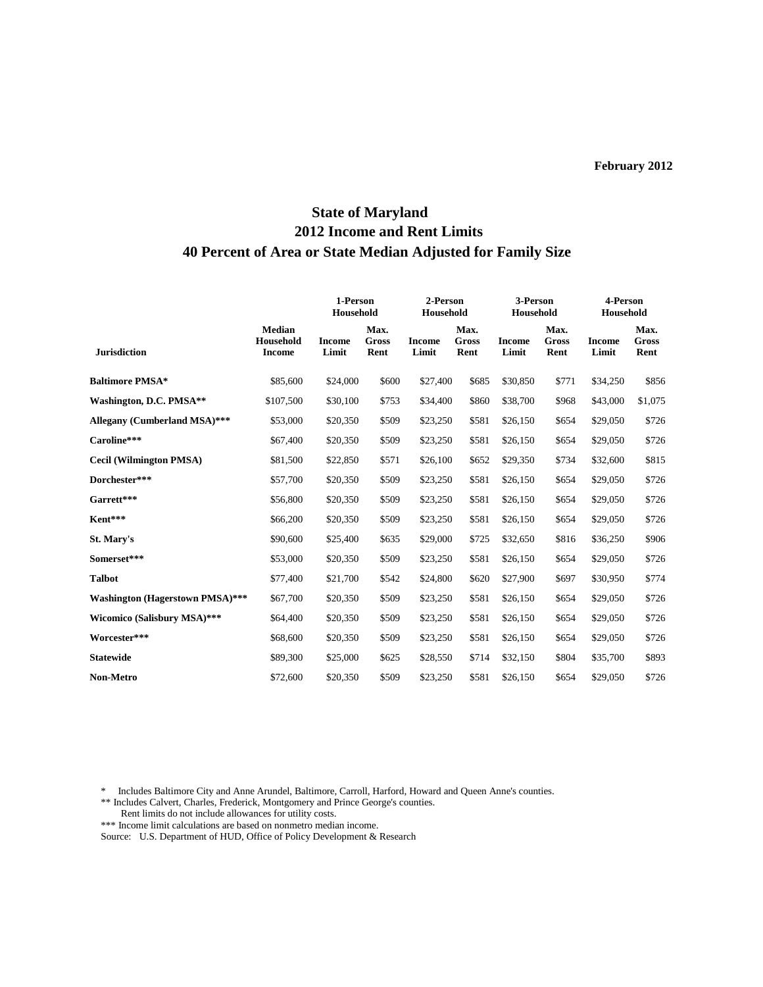# **State of Maryland 2012 Income and Rent Limits 40 Percent of Area or State Median Adjusted for Family Size**

|                                        |                                             | 1-Person<br>Household  |                       | 2-Person<br>Household  |                              | 3-Person<br>Household  |                              | 4-Person<br>Household  |                              |
|----------------------------------------|---------------------------------------------|------------------------|-----------------------|------------------------|------------------------------|------------------------|------------------------------|------------------------|------------------------------|
| <b>Jurisdiction</b>                    | <b>Median</b><br>Household<br><b>Income</b> | <b>Income</b><br>Limit | Max.<br>Gross<br>Rent | <b>Income</b><br>Limit | Max.<br><b>Gross</b><br>Rent | <b>Income</b><br>Limit | Max.<br><b>Gross</b><br>Rent | <b>Income</b><br>Limit | Max.<br><b>Gross</b><br>Rent |
| <b>Baltimore PMSA*</b>                 | \$85,600                                    | \$24,000               | \$600                 | \$27,400               | \$685                        | \$30,850               | \$771                        | \$34,250               | \$856                        |
| Washington, D.C. PMSA**                | \$107,500                                   | \$30,100               | \$753                 | \$34,400               | \$860                        | \$38,700               | \$968                        | \$43,000               | \$1,075                      |
| Allegany (Cumberland MSA)***           | \$53,000                                    | \$20,350               | \$509                 | \$23,250               | \$581                        | \$26,150               | \$654                        | \$29,050               | \$726                        |
| Caroline***                            | \$67,400                                    | \$20,350               | \$509                 | \$23,250               | \$581                        | \$26,150               | \$654                        | \$29,050               | \$726                        |
| <b>Cecil (Wilmington PMSA)</b>         | \$81,500                                    | \$22,850               | \$571                 | \$26,100               | \$652                        | \$29,350               | \$734                        | \$32,600               | \$815                        |
| Dorchester***                          | \$57,700                                    | \$20,350               | \$509                 | \$23,250               | \$581                        | \$26,150               | \$654                        | \$29,050               | \$726                        |
| Garrett***                             | \$56,800                                    | \$20,350               | \$509                 | \$23,250               | \$581                        | \$26,150               | \$654                        | \$29,050               | \$726                        |
| Kent***                                | \$66,200                                    | \$20,350               | \$509                 | \$23,250               | \$581                        | \$26,150               | \$654                        | \$29,050               | \$726                        |
| St. Mary's                             | \$90,600                                    | \$25,400               | \$635                 | \$29,000               | \$725                        | \$32,650               | \$816                        | \$36,250               | \$906                        |
| Somerset***                            | \$53,000                                    | \$20,350               | \$509                 | \$23,250               | \$581                        | \$26,150               | \$654                        | \$29,050               | \$726                        |
| <b>Talbot</b>                          | \$77,400                                    | \$21,700               | \$542                 | \$24,800               | \$620                        | \$27,900               | \$697                        | \$30,950               | \$774                        |
| <b>Washington (Hagerstown PMSA)***</b> | \$67,700                                    | \$20,350               | \$509                 | \$23,250               | \$581                        | \$26,150               | \$654                        | \$29,050               | \$726                        |
| Wicomico (Salisbury MSA)***            | \$64,400                                    | \$20,350               | \$509                 | \$23,250               | \$581                        | \$26,150               | \$654                        | \$29,050               | \$726                        |
| Worcester***                           | \$68,600                                    | \$20,350               | \$509                 | \$23,250               | \$581                        | \$26,150               | \$654                        | \$29,050               | \$726                        |
| <b>Statewide</b>                       | \$89,300                                    | \$25,000               | \$625                 | \$28,550               | \$714                        | \$32,150               | \$804                        | \$35,700               | \$893                        |
| <b>Non-Metro</b>                       | \$72,600                                    | \$20,350               | \$509                 | \$23,250               | \$581                        | \$26,150               | \$654                        | \$29,050               | \$726                        |

\* Includes Baltimore City and Anne Arundel, Baltimore, Carroll, Harford, Howard and Queen Anne's counties.

\*\*\* Income limit calculations are based on nonmetro median income.

<sup>\*\*</sup> Includes Calvert, Charles, Frederick, Montgomery and Prince George's counties.

Rent limits do not include allowances for utility costs.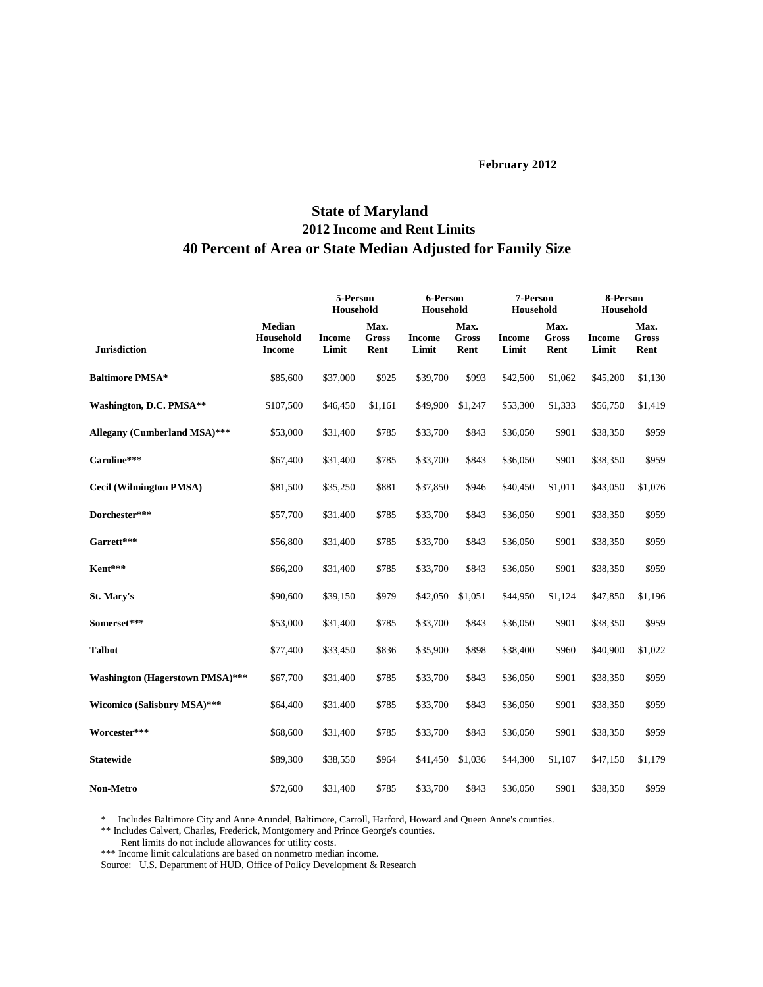# **State of Maryland 2012 Income and Rent Limits 40 Percent of Area or State Median Adjusted for Family Size**

|                                        |                                             | 5-Person<br>Household  |                              | 6-Person<br>Household  |                              | 7-Person<br>Household  |                       | 8-Person<br>Household  |                              |
|----------------------------------------|---------------------------------------------|------------------------|------------------------------|------------------------|------------------------------|------------------------|-----------------------|------------------------|------------------------------|
| <b>Jurisdiction</b>                    | <b>Median</b><br>Household<br><b>Income</b> | <b>Income</b><br>Limit | Max.<br><b>Gross</b><br>Rent | <b>Income</b><br>Limit | Max.<br><b>Gross</b><br>Rent | <b>Income</b><br>Limit | Max.<br>Gross<br>Rent | <b>Income</b><br>Limit | Max.<br><b>Gross</b><br>Rent |
| <b>Baltimore PMSA*</b>                 | \$85,600                                    | \$37,000               | \$925                        | \$39,700               | \$993                        | \$42,500               | \$1,062               | \$45,200               | \$1,130                      |
| Washington, D.C. PMSA**                | \$107,500                                   | \$46,450               | \$1,161                      | \$49,900               | \$1,247                      | \$53,300               | \$1,333               | \$56,750               | \$1,419                      |
| Allegany (Cumberland MSA)***           | \$53,000                                    | \$31,400               | \$785                        | \$33,700               | \$843                        | \$36,050               | \$901                 | \$38,350               | \$959                        |
| Caroline***                            | \$67,400                                    | \$31,400               | \$785                        | \$33,700               | \$843                        | \$36,050               | \$901                 | \$38,350               | \$959                        |
| <b>Cecil (Wilmington PMSA)</b>         | \$81,500                                    | \$35,250               | \$881                        | \$37,850               | \$946                        | \$40,450               | \$1,011               | \$43,050               | \$1,076                      |
| Dorchester***                          | \$57,700                                    | \$31,400               | \$785                        | \$33,700               | \$843                        | \$36,050               | \$901                 | \$38,350               | \$959                        |
| Garrett***                             | \$56,800                                    | \$31,400               | \$785                        | \$33,700               | \$843                        | \$36,050               | \$901                 | \$38,350               | \$959                        |
| Kent***                                | \$66,200                                    | \$31,400               | \$785                        | \$33,700               | \$843                        | \$36,050               | \$901                 | \$38,350               | \$959                        |
| St. Mary's                             | \$90,600                                    | \$39,150               | \$979                        | \$42,050               | \$1,051                      | \$44,950               | \$1,124               | \$47,850               | \$1,196                      |
| Somerset***                            | \$53,000                                    | \$31,400               | \$785                        | \$33,700               | \$843                        | \$36,050               | \$901                 | \$38,350               | \$959                        |
| <b>Talbot</b>                          | \$77,400                                    | \$33,450               | \$836                        | \$35,900               | \$898                        | \$38,400               | \$960                 | \$40,900               | \$1,022                      |
| <b>Washington (Hagerstown PMSA)***</b> | \$67,700                                    | \$31,400               | \$785                        | \$33,700               | \$843                        | \$36,050               | \$901                 | \$38,350               | \$959                        |
| Wicomico (Salisbury MSA)***            | \$64,400                                    | \$31,400               | \$785                        | \$33,700               | \$843                        | \$36,050               | \$901                 | \$38,350               | \$959                        |
| Worcester***                           | \$68,600                                    | \$31,400               | \$785                        | \$33,700               | \$843                        | \$36,050               | \$901                 | \$38,350               | \$959                        |
| <b>Statewide</b>                       | \$89,300                                    | \$38,550               | \$964                        | \$41,450               | \$1,036                      | \$44,300               | \$1,107               | \$47,150               | \$1,179                      |
| <b>Non-Metro</b>                       | \$72,600                                    | \$31,400               | \$785                        | \$33,700               | \$843                        | \$36,050               | \$901                 | \$38,350               | \$959                        |

\* Includes Baltimore City and Anne Arundel, Baltimore, Carroll, Harford, Howard and Queen Anne's counties.

\*\* Includes Calvert, Charles, Frederick, Montgomery and Prince George's counties.

Rent limits do not include allowances for utility costs.

\*\*\* Income limit calculations are based on nonmetro median income.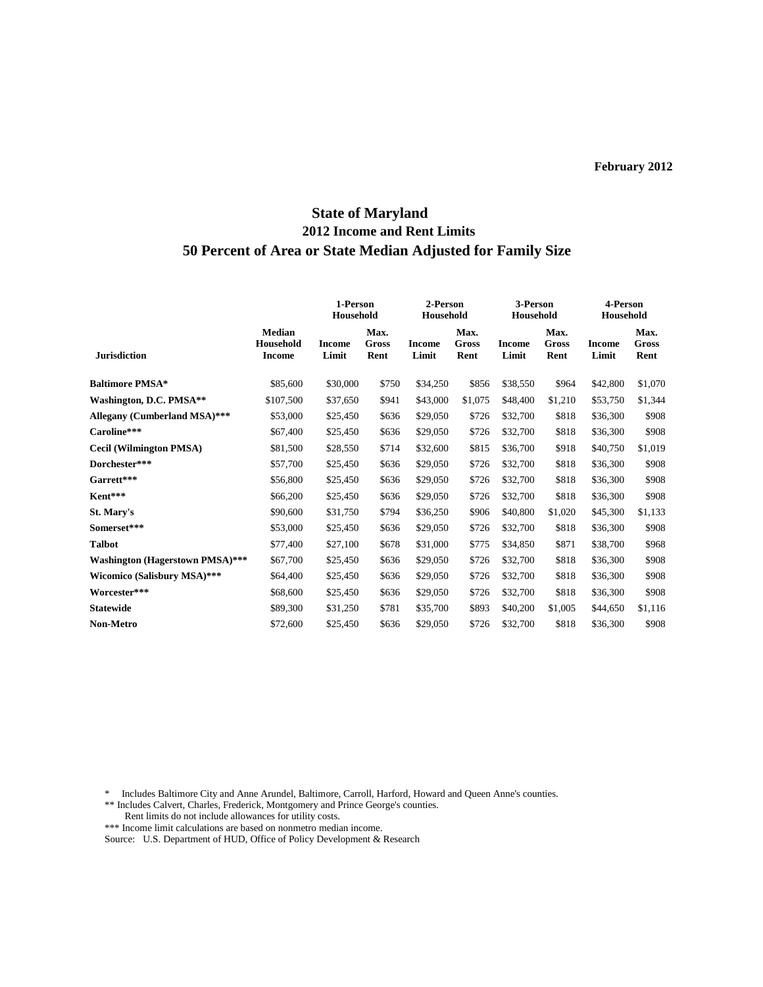# **State of Maryland 2012 Income and Rent Limits 50 Percent of Area or State Median Adjusted for Family Size**

|                                        |                                             | 1-Person<br>Household |                       | 2-Person<br>Household  |                       | 3-Person<br>Household  |                       | 4-Person<br>Household  |                              |
|----------------------------------------|---------------------------------------------|-----------------------|-----------------------|------------------------|-----------------------|------------------------|-----------------------|------------------------|------------------------------|
| <b>Jurisdiction</b>                    | <b>Median</b><br>Household<br><b>Income</b> | Income<br>Limit       | Max.<br>Gross<br>Rent | <b>Income</b><br>Limit | Max.<br>Gross<br>Rent | <b>Income</b><br>Limit | Max.<br>Gross<br>Rent | <b>Income</b><br>Limit | Max.<br><b>Gross</b><br>Rent |
| <b>Baltimore PMSA*</b>                 | \$85,600                                    | \$30,000              | \$750                 | \$34,250               | \$856                 | \$38,550               | \$964                 | \$42,800               | \$1,070                      |
| Washington, D.C. PMSA**                | \$107,500                                   | \$37,650              | \$941                 | \$43,000               | \$1,075               | \$48,400               | \$1,210               | \$53,750               | \$1,344                      |
| Allegany (Cumberland MSA)***           | \$53,000                                    | \$25,450              | \$636                 | \$29,050               | \$726                 | \$32,700               | \$818                 | \$36,300               | \$908                        |
| Caroline***                            | \$67,400                                    | \$25,450              | \$636                 | \$29,050               | \$726                 | \$32,700               | \$818                 | \$36,300               | \$908                        |
| <b>Cecil (Wilmington PMSA)</b>         | \$81,500                                    | \$28,550              | \$714                 | \$32,600               | \$815                 | \$36,700               | \$918                 | \$40,750               | \$1,019                      |
| Dorchester***                          | \$57,700                                    | \$25,450              | \$636                 | \$29,050               | \$726                 | \$32,700               | \$818                 | \$36,300               | \$908                        |
| Garrett***                             | \$56,800                                    | \$25,450              | \$636                 | \$29,050               | \$726                 | \$32,700               | \$818                 | \$36,300               | \$908                        |
| Kent***                                | \$66,200                                    | \$25,450              | \$636                 | \$29,050               | \$726                 | \$32,700               | \$818                 | \$36,300               | \$908                        |
| St. Mary's                             | \$90,600                                    | \$31,750              | \$794                 | \$36,250               | \$906                 | \$40,800               | \$1,020               | \$45,300               | \$1,133                      |
| Somerset***                            | \$53,000                                    | \$25,450              | \$636                 | \$29,050               | \$726                 | \$32,700               | \$818                 | \$36,300               | \$908                        |
| <b>Talbot</b>                          | \$77,400                                    | \$27,100              | \$678                 | \$31,000               | \$775                 | \$34,850               | \$871                 | \$38,700               | \$968                        |
| <b>Washington (Hagerstown PMSA)***</b> | \$67,700                                    | \$25,450              | \$636                 | \$29,050               | \$726                 | \$32,700               | \$818                 | \$36,300               | \$908                        |
| Wicomico (Salisbury MSA)***            | \$64,400                                    | \$25,450              | \$636                 | \$29,050               | \$726                 | \$32,700               | \$818                 | \$36,300               | \$908                        |
| Worcester***                           | \$68,600                                    | \$25,450              | \$636                 | \$29,050               | \$726                 | \$32,700               | \$818                 | \$36,300               | \$908                        |
| <b>Statewide</b>                       | \$89,300                                    | \$31,250              | \$781                 | \$35,700               | \$893                 | \$40,200               | \$1,005               | \$44,650               | \$1,116                      |
| <b>Non-Metro</b>                       | \$72,600                                    | \$25,450              | \$636                 | \$29,050               | \$726                 | \$32,700               | \$818                 | \$36,300               | \$908                        |

\* Includes Baltimore City and Anne Arundel, Baltimore, Carroll, Harford, Howard and Queen Anne's counties.

\*\* Includes Calvert, Charles, Frederick, Montgomery and Prince George's counties. Rent limits do not include allowances for utility costs.

\*\*\* Income limit calculations are based on nonmetro median income.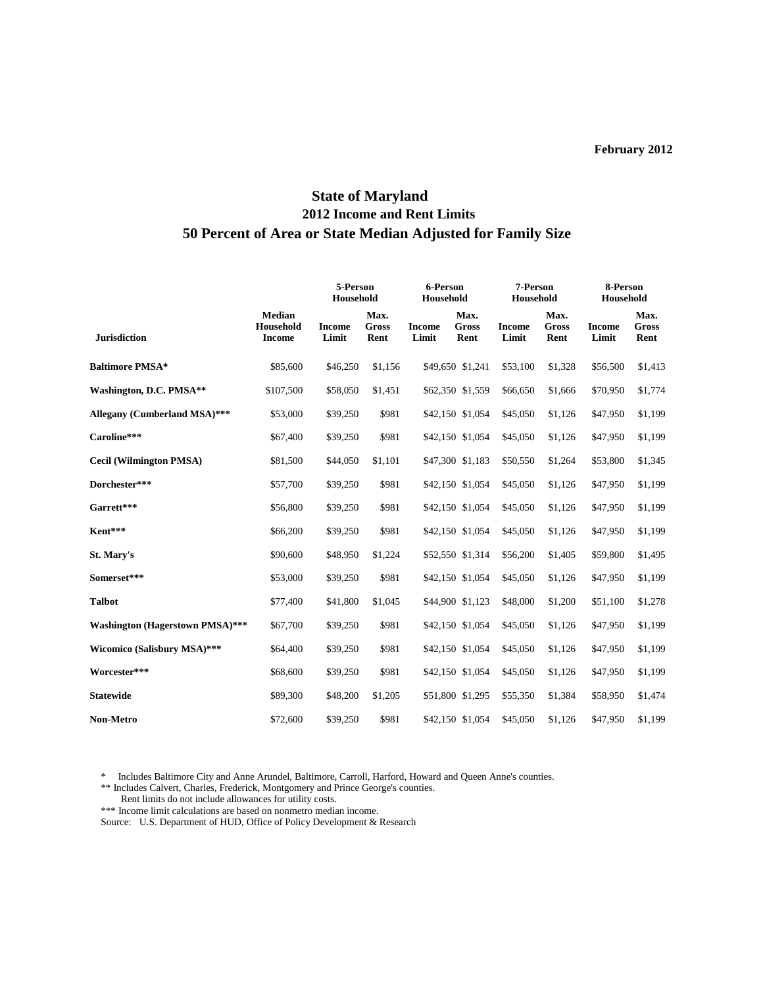# **State of Maryland 2012 Income and Rent Limits 50 Percent of Area or State Median Adjusted for Family Size**

|                                        |                                             |                        | 5-Person<br>Household        |                        | 6-Person<br>Household        |                        | 7-Person<br>Household        |                        | 8-Person<br>Household        |  |
|----------------------------------------|---------------------------------------------|------------------------|------------------------------|------------------------|------------------------------|------------------------|------------------------------|------------------------|------------------------------|--|
| <b>Jurisdiction</b>                    | <b>Median</b><br>Household<br><b>Income</b> | <b>Income</b><br>Limit | Max.<br><b>Gross</b><br>Rent | <b>Income</b><br>Limit | Max.<br><b>Gross</b><br>Rent | <b>Income</b><br>Limit | Max.<br><b>Gross</b><br>Rent | <b>Income</b><br>Limit | Max.<br><b>Gross</b><br>Rent |  |
| <b>Baltimore PMSA*</b>                 | \$85,600                                    | \$46,250               | \$1,156                      |                        | \$49,650 \$1,241             | \$53,100               | \$1,328                      | \$56,500               | \$1,413                      |  |
| Washington, D.C. PMSA**                | \$107,500                                   | \$58,050               | \$1,451                      |                        | \$62,350 \$1,559             | \$66,650               | \$1,666                      | \$70,950               | \$1,774                      |  |
| Allegany (Cumberland MSA)***           | \$53,000                                    | \$39,250               | \$981                        |                        | \$42,150 \$1,054             | \$45,050               | \$1,126                      | \$47,950               | \$1,199                      |  |
| Caroline***                            | \$67,400                                    | \$39,250               | \$981                        |                        | \$42,150 \$1,054             | \$45,050               | \$1,126                      | \$47,950               | \$1,199                      |  |
| <b>Cecil (Wilmington PMSA)</b>         | \$81,500                                    | \$44,050               | \$1,101                      |                        | \$47,300 \$1,183             | \$50,550               | \$1,264                      | \$53,800               | \$1,345                      |  |
| Dorchester***                          | \$57,700                                    | \$39,250               | \$981                        |                        | \$42,150 \$1,054             | \$45,050               | \$1,126                      | \$47,950               | \$1,199                      |  |
| Garrett***                             | \$56,800                                    | \$39,250               | \$981                        |                        | \$42,150 \$1,054             | \$45,050               | \$1,126                      | \$47,950               | \$1,199                      |  |
| Kent***                                | \$66,200                                    | \$39,250               | \$981                        |                        | \$42,150 \$1,054             | \$45,050               | \$1,126                      | \$47,950               | \$1,199                      |  |
| St. Mary's                             | \$90,600                                    | \$48,950               | \$1,224                      |                        | \$52,550 \$1,314             | \$56,200               | \$1,405                      | \$59,800               | \$1,495                      |  |
| Somerset***                            | \$53,000                                    | \$39,250               | \$981                        |                        | \$42,150 \$1,054             | \$45,050               | \$1,126                      | \$47,950               | \$1,199                      |  |
| <b>Talbot</b>                          | \$77,400                                    | \$41,800               | \$1,045                      |                        | \$44,900 \$1,123             | \$48,000               | \$1,200                      | \$51,100               | \$1,278                      |  |
| <b>Washington (Hagerstown PMSA)***</b> | \$67,700                                    | \$39,250               | \$981                        |                        | \$42,150 \$1,054             | \$45,050               | \$1,126                      | \$47,950               | \$1,199                      |  |
| Wicomico (Salisbury MSA)***            | \$64,400                                    | \$39,250               | \$981                        |                        | \$42,150 \$1,054             | \$45,050               | \$1,126                      | \$47,950               | \$1,199                      |  |
| Worcester***                           | \$68,600                                    | \$39,250               | \$981                        |                        | \$42,150 \$1,054             | \$45,050               | \$1,126                      | \$47,950               | \$1,199                      |  |
| <b>Statewide</b>                       | \$89,300                                    | \$48,200               | \$1,205                      |                        | \$51,800 \$1,295             | \$55,350               | \$1,384                      | \$58,950               | \$1,474                      |  |
| <b>Non-Metro</b>                       | \$72,600                                    | \$39,250               | \$981                        |                        | \$42,150 \$1,054             | \$45,050               | \$1,126                      | \$47,950               | \$1,199                      |  |

\* Includes Baltimore City and Anne Arundel, Baltimore, Carroll, Harford, Howard and Queen Anne's counties.

\*\* Includes Calvert, Charles, Frederick, Montgomery and Prince George's counties.

Rent limits do not include allowances for utility costs.

\*\*\* Income limit calculations are based on nonmetro median income.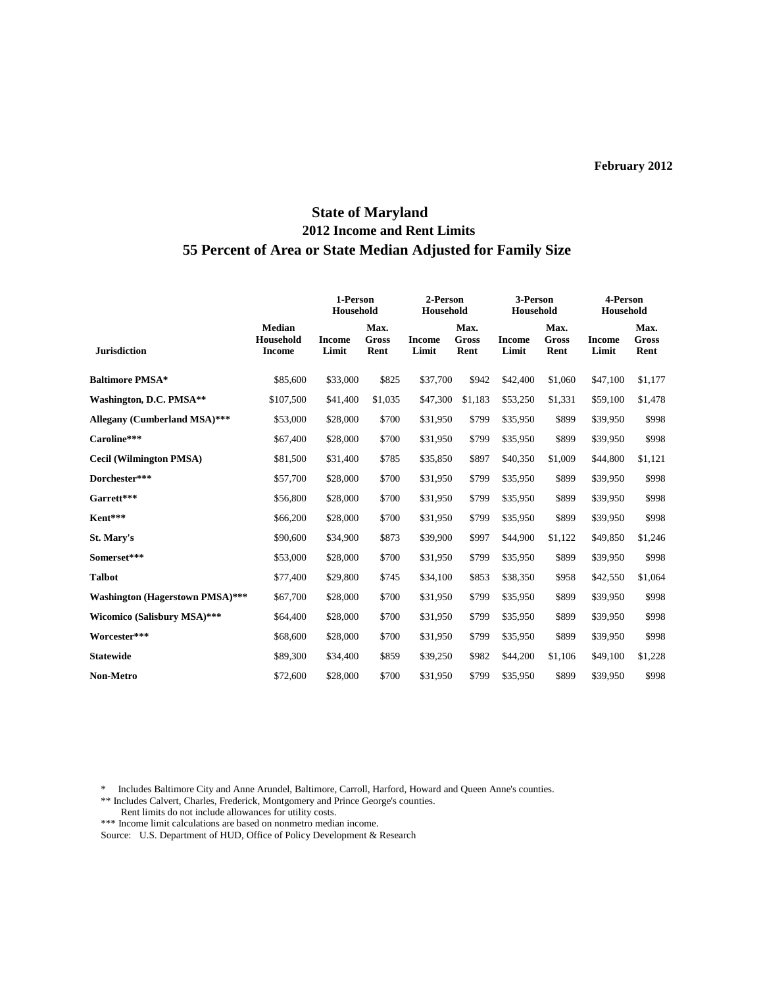## **State of Maryland 2012 Income and Rent Limits 55 Percent of Area or State Median Adjusted for Family Size**

|                                        |                                             | 1-Person<br>Household  |                       | 2-Person<br>Household  |                              | 3-Person<br>Household  |                              | 4-Person<br>Household  |                              |
|----------------------------------------|---------------------------------------------|------------------------|-----------------------|------------------------|------------------------------|------------------------|------------------------------|------------------------|------------------------------|
| <b>Jurisdiction</b>                    | <b>Median</b><br>Household<br><b>Income</b> | <b>Income</b><br>Limit | Max.<br>Gross<br>Rent | <b>Income</b><br>Limit | Max.<br><b>Gross</b><br>Rent | <b>Income</b><br>Limit | Max.<br><b>Gross</b><br>Rent | <b>Income</b><br>Limit | Max.<br><b>Gross</b><br>Rent |
| <b>Baltimore PMSA*</b>                 | \$85,600                                    | \$33,000               | \$825                 | \$37,700               | \$942                        | \$42,400               | \$1,060                      | \$47,100               | \$1,177                      |
| Washington, D.C. PMSA**                | \$107,500                                   | \$41,400               | \$1,035               | \$47,300               | \$1,183                      | \$53,250               | \$1,331                      | \$59,100               | \$1,478                      |
| Allegany (Cumberland MSA)***           | \$53,000                                    | \$28,000               | \$700                 | \$31,950               | \$799                        | \$35,950               | \$899                        | \$39,950               | \$998                        |
| Caroline***                            | \$67,400                                    | \$28,000               | \$700                 | \$31,950               | \$799                        | \$35,950               | \$899                        | \$39,950               | \$998                        |
| <b>Cecil (Wilmington PMSA)</b>         | \$81,500                                    | \$31,400               | \$785                 | \$35,850               | \$897                        | \$40,350               | \$1,009                      | \$44,800               | \$1,121                      |
| Dorchester***                          | \$57,700                                    | \$28,000               | \$700                 | \$31,950               | \$799                        | \$35,950               | \$899                        | \$39,950               | \$998                        |
| Garrett***                             | \$56,800                                    | \$28,000               | \$700                 | \$31,950               | \$799                        | \$35,950               | \$899                        | \$39,950               | \$998                        |
| Kent***                                | \$66,200                                    | \$28,000               | \$700                 | \$31,950               | \$799                        | \$35,950               | \$899                        | \$39,950               | \$998                        |
| St. Mary's                             | \$90,600                                    | \$34,900               | \$873                 | \$39,900               | \$997                        | \$44,900               | \$1,122                      | \$49,850               | \$1,246                      |
| Somerset***                            | \$53,000                                    | \$28,000               | \$700                 | \$31,950               | \$799                        | \$35,950               | \$899                        | \$39,950               | \$998                        |
| <b>Talbot</b>                          | \$77,400                                    | \$29,800               | \$745                 | \$34,100               | \$853                        | \$38,350               | \$958                        | \$42,550               | \$1,064                      |
| <b>Washington (Hagerstown PMSA)***</b> | \$67,700                                    | \$28,000               | \$700                 | \$31,950               | \$799                        | \$35,950               | \$899                        | \$39,950               | \$998                        |
| Wicomico (Salisbury MSA)***            | \$64,400                                    | \$28,000               | \$700                 | \$31,950               | \$799                        | \$35,950               | \$899                        | \$39,950               | \$998                        |
| Worcester***                           | \$68,600                                    | \$28,000               | \$700                 | \$31,950               | \$799                        | \$35,950               | \$899                        | \$39,950               | \$998                        |
| <b>Statewide</b>                       | \$89,300                                    | \$34,400               | \$859                 | \$39,250               | \$982                        | \$44,200               | \$1,106                      | \$49,100               | \$1,228                      |
| Non-Metro                              | \$72,600                                    | \$28,000               | \$700                 | \$31,950               | \$799                        | \$35,950               | \$899                        | \$39,950               | \$998                        |

\* Includes Baltimore City and Anne Arundel, Baltimore, Carroll, Harford, Howard and Queen Anne's counties.

\*\*\* Income limit calculations are based on nonmetro median income.

<sup>\*\*</sup> Includes Calvert, Charles, Frederick, Montgomery and Prince George's counties.

Rent limits do not include allowances for utility costs.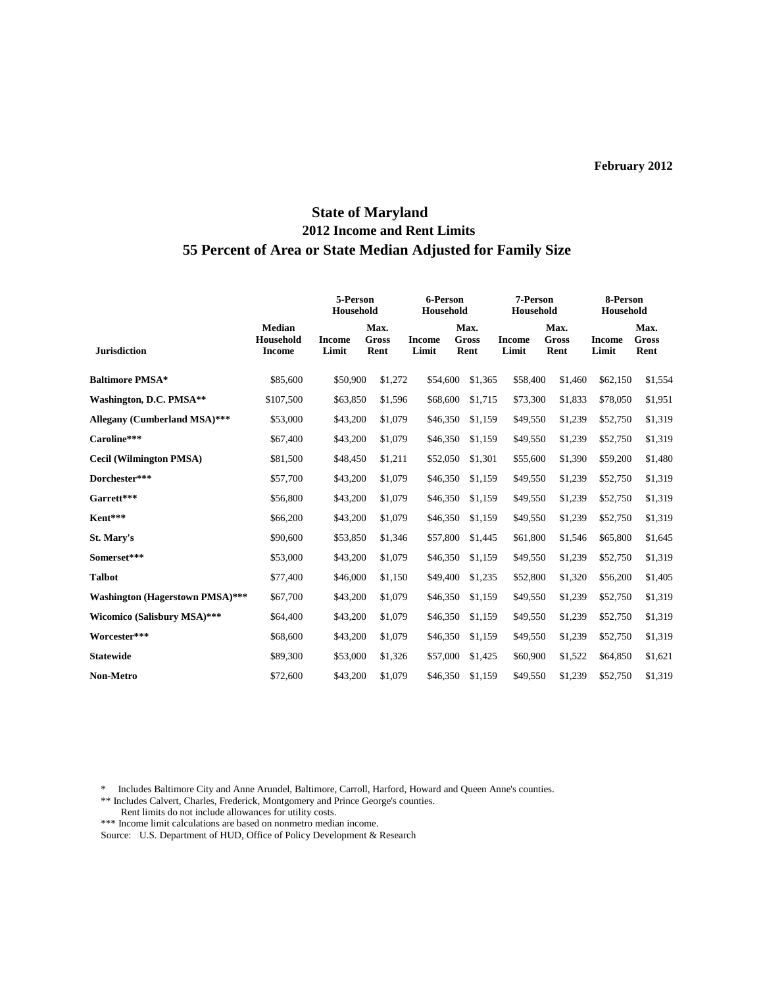## **State of Maryland 2012 Income and Rent Limits 55 Percent of Area or State Median Adjusted for Family Size**

|                                        |                                             | 5-Person<br>Household  |                       | 6-Person<br>Household  |                       | 7-Person<br>Household  |                       | 8-Person<br>Household  |                       |
|----------------------------------------|---------------------------------------------|------------------------|-----------------------|------------------------|-----------------------|------------------------|-----------------------|------------------------|-----------------------|
| <b>Jurisdiction</b>                    | <b>Median</b><br>Household<br><b>Income</b> | <b>Income</b><br>Limit | Max.<br>Gross<br>Rent | <b>Income</b><br>Limit | Max.<br>Gross<br>Rent | <b>Income</b><br>Limit | Max.<br>Gross<br>Rent | <b>Income</b><br>Limit | Max.<br>Gross<br>Rent |
| <b>Baltimore PMSA*</b>                 | \$85,600                                    | \$50,900               | \$1,272               | \$54,600               | \$1,365               | \$58,400               | \$1,460               | \$62,150               | \$1,554               |
| Washington, D.C. PMSA**                | \$107,500                                   | \$63,850               | \$1,596               | \$68,600               | \$1,715               | \$73,300               | \$1,833               | \$78,050               | \$1,951               |
| Allegany (Cumberland MSA)***           | \$53,000                                    | \$43,200               | \$1,079               | \$46,350               | \$1,159               | \$49,550               | \$1,239               | \$52,750               | \$1,319               |
| Caroline***                            | \$67,400                                    | \$43,200               | \$1,079               | \$46,350               | \$1,159               | \$49,550               | \$1,239               | \$52,750               | \$1,319               |
| <b>Cecil (Wilmington PMSA)</b>         | \$81,500                                    | \$48,450               | \$1,211               | \$52,050               | \$1,301               | \$55,600               | \$1,390               | \$59,200               | \$1,480               |
| Dorchester***                          | \$57,700                                    | \$43,200               | \$1,079               | \$46,350               | \$1,159               | \$49,550               | \$1,239               | \$52,750               | \$1,319               |
| Garrett***                             | \$56,800                                    | \$43,200               | \$1,079               | \$46,350               | \$1,159               | \$49,550               | \$1,239               | \$52,750               | \$1,319               |
| Kent***                                | \$66,200                                    | \$43,200               | \$1,079               | \$46,350               | \$1,159               | \$49,550               | \$1,239               | \$52,750               | \$1,319               |
| St. Mary's                             | \$90,600                                    | \$53,850               | \$1,346               | \$57,800               | \$1,445               | \$61,800               | \$1,546               | \$65,800               | \$1,645               |
| Somerset***                            | \$53,000                                    | \$43,200               | \$1,079               | \$46,350               | \$1,159               | \$49,550               | \$1,239               | \$52,750               | \$1,319               |
| <b>Talbot</b>                          | \$77,400                                    | \$46,000               | \$1,150               | \$49,400               | \$1,235               | \$52,800               | \$1,320               | \$56,200               | \$1,405               |
| <b>Washington (Hagerstown PMSA)***</b> | \$67,700                                    | \$43,200               | \$1,079               | \$46,350               | \$1,159               | \$49,550               | \$1,239               | \$52,750               | \$1,319               |
| Wicomico (Salisbury MSA)***            | \$64,400                                    | \$43,200               | \$1,079               | \$46,350               | \$1,159               | \$49,550               | \$1,239               | \$52,750               | \$1,319               |
| Worcester***                           | \$68,600                                    | \$43,200               | \$1,079               | \$46,350               | \$1,159               | \$49,550               | \$1,239               | \$52,750               | \$1,319               |
| <b>Statewide</b>                       | \$89,300                                    | \$53,000               | \$1,326               | \$57,000               | \$1,425               | \$60,900               | \$1,522               | \$64,850               | \$1,621               |
| Non-Metro                              | \$72,600                                    | \$43,200               | \$1,079               | \$46,350               | \$1,159               | \$49,550               | \$1,239               | \$52,750               | \$1,319               |

\* Includes Baltimore City and Anne Arundel, Baltimore, Carroll, Harford, Howard and Queen Anne's counties.

\*\* Includes Calvert, Charles, Frederick, Montgomery and Prince George's counties.

Rent limits do not include allowances for utility costs.

\*\*\* Income limit calculations are based on nonmetro median income.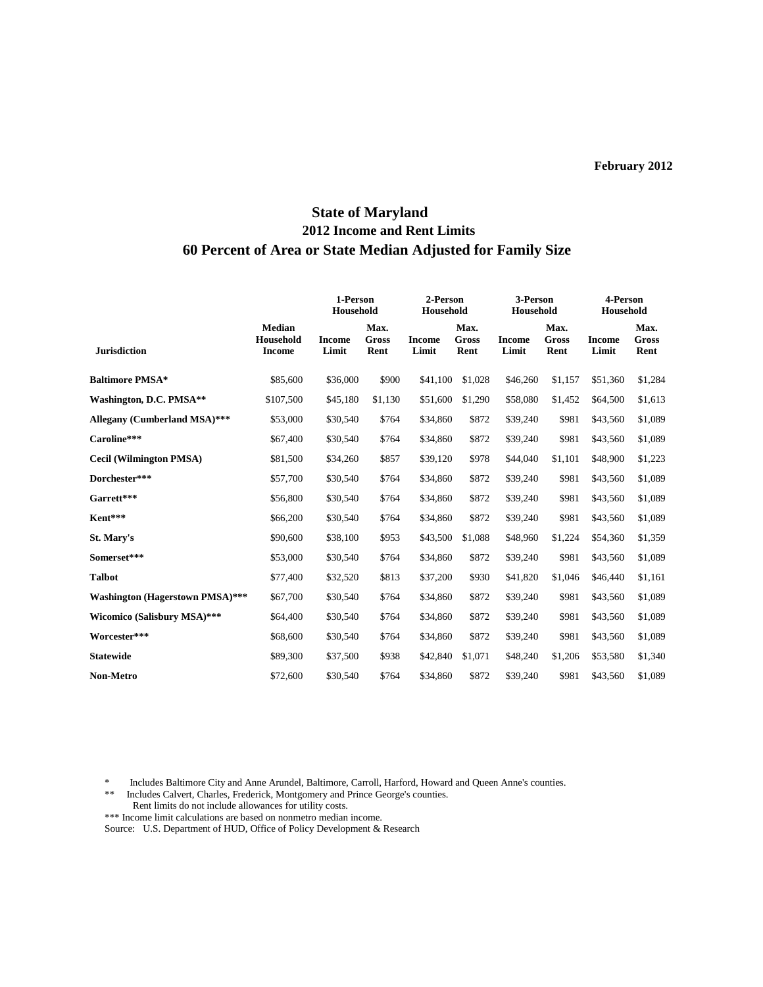## **State of Maryland 2012 Income and Rent Limits 60 Percent of Area or State Median Adjusted for Family Size**

|                                        |                                             | 1-Person<br>Household  |                       | 2-Person<br>Household  |                              | 3-Person<br>Household  |                       | 4-Person<br>Household  |                              |
|----------------------------------------|---------------------------------------------|------------------------|-----------------------|------------------------|------------------------------|------------------------|-----------------------|------------------------|------------------------------|
| <b>Jurisdiction</b>                    | <b>Median</b><br>Household<br><b>Income</b> | <b>Income</b><br>Limit | Max.<br>Gross<br>Rent | <b>Income</b><br>Limit | Max.<br><b>Gross</b><br>Rent | <b>Income</b><br>Limit | Max.<br>Gross<br>Rent | <b>Income</b><br>Limit | Max.<br><b>Gross</b><br>Rent |
| <b>Baltimore PMSA*</b>                 | \$85,600                                    | \$36,000               | \$900                 | \$41,100               | \$1,028                      | \$46,260               | \$1,157               | \$51,360               | \$1,284                      |
| Washington, D.C. PMSA**                | \$107,500                                   | \$45,180               | \$1,130               | \$51,600               | \$1,290                      | \$58,080               | \$1,452               | \$64,500               | \$1,613                      |
| Allegany (Cumberland MSA)***           | \$53,000                                    | \$30,540               | \$764                 | \$34,860               | \$872                        | \$39,240               | \$981                 | \$43,560               | \$1,089                      |
| Caroline***                            | \$67,400                                    | \$30,540               | \$764                 | \$34,860               | \$872                        | \$39,240               | \$981                 | \$43,560               | \$1,089                      |
| <b>Cecil (Wilmington PMSA)</b>         | \$81,500                                    | \$34,260               | \$857                 | \$39,120               | \$978                        | \$44,040               | \$1,101               | \$48,900               | \$1,223                      |
| Dorchester***                          | \$57,700                                    | \$30,540               | \$764                 | \$34,860               | \$872                        | \$39,240               | \$981                 | \$43,560               | \$1,089                      |
| Garrett***                             | \$56,800                                    | \$30,540               | \$764                 | \$34,860               | \$872                        | \$39,240               | \$981                 | \$43,560               | \$1,089                      |
| Kent***                                | \$66,200                                    | \$30,540               | \$764                 | \$34,860               | \$872                        | \$39,240               | \$981                 | \$43,560               | \$1,089                      |
| St. Marv's                             | \$90,600                                    | \$38,100               | \$953                 | \$43,500               | \$1,088                      | \$48,960               | \$1,224               | \$54,360               | \$1,359                      |
| Somerset***                            | \$53,000                                    | \$30,540               | \$764                 | \$34,860               | \$872                        | \$39,240               | \$981                 | \$43,560               | \$1,089                      |
| <b>Talbot</b>                          | \$77,400                                    | \$32,520               | \$813                 | \$37,200               | \$930                        | \$41,820               | \$1,046               | \$46,440               | \$1,161                      |
| <b>Washington (Hagerstown PMSA)***</b> | \$67,700                                    | \$30,540               | \$764                 | \$34,860               | \$872                        | \$39,240               | \$981                 | \$43,560               | \$1,089                      |
| <b>Wicomico (Salisbury MSA)***</b>     | \$64,400                                    | \$30,540               | \$764                 | \$34,860               | \$872                        | \$39,240               | \$981                 | \$43,560               | \$1,089                      |
| Worcester***                           | \$68,600                                    | \$30,540               | \$764                 | \$34,860               | \$872                        | \$39,240               | \$981                 | \$43,560               | \$1,089                      |
| <b>Statewide</b>                       | \$89,300                                    | \$37,500               | \$938                 | \$42,840               | \$1.071                      | \$48,240               | \$1,206               | \$53,580               | \$1,340                      |
| <b>Non-Metro</b>                       | \$72,600                                    | \$30,540               | \$764                 | \$34,860               | \$872                        | \$39,240               | \$981                 | \$43,560               | \$1,089                      |

\* Includes Baltimore City and Anne Arundel, Baltimore, Carroll, Harford, Howard and Queen Anne's counties.<br>\*\* Includes Calvert. Charles. Frederick. Montgomery and Prince George's counties.

Includes Calvert, Charles, Frederick, Montgomery and Prince George's counties.

Rent limits do not include allowances for utility costs.

\*\*\* Income limit calculations are based on nonmetro median income.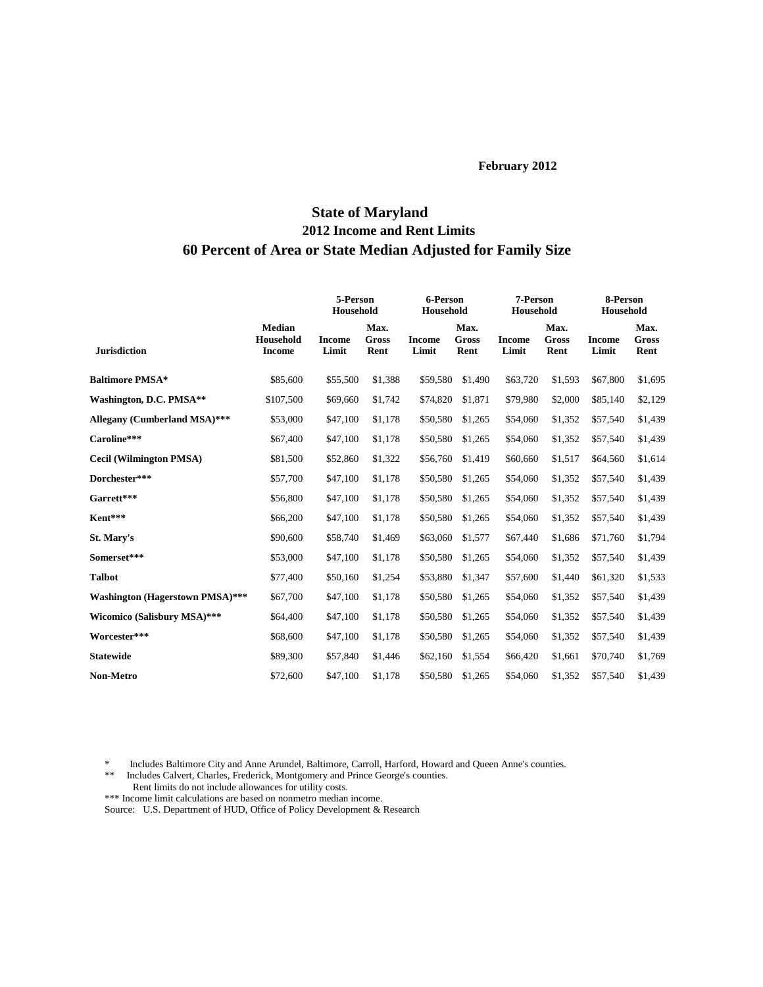# **State of Maryland 2012 Income and Rent Limits 60 Percent of Area or State Median Adjusted for Family Size**

|                                        |                                             | 5-Person<br>Household  |                       | 6-Person<br>Household  |                       | 7-Person<br>Household  |                       | 8-Person<br>Household  |                              |
|----------------------------------------|---------------------------------------------|------------------------|-----------------------|------------------------|-----------------------|------------------------|-----------------------|------------------------|------------------------------|
| <b>Jurisdiction</b>                    | <b>Median</b><br>Household<br><b>Income</b> | <b>Income</b><br>Limit | Max.<br>Gross<br>Rent | <b>Income</b><br>Limit | Max.<br>Gross<br>Rent | <b>Income</b><br>Limit | Max.<br>Gross<br>Rent | <b>Income</b><br>Limit | Max.<br><b>Gross</b><br>Rent |
| <b>Baltimore PMSA*</b>                 | \$85,600                                    | \$55,500               | \$1,388               | \$59,580               | \$1,490               | \$63,720               | \$1,593               | \$67,800               | \$1,695                      |
| Washington, D.C. PMSA**                | \$107,500                                   | \$69,660               | \$1,742               | \$74,820               | \$1,871               | \$79,980               | \$2,000               | \$85,140               | \$2,129                      |
| Allegany (Cumberland MSA)***           | \$53,000                                    | \$47,100               | \$1,178               | \$50,580               | \$1,265               | \$54,060               | \$1,352               | \$57,540               | \$1,439                      |
| Caroline***                            | \$67,400                                    | \$47,100               | \$1,178               | \$50,580               | \$1,265               | \$54,060               | \$1,352               | \$57,540               | \$1,439                      |
| <b>Cecil (Wilmington PMSA)</b>         | \$81,500                                    | \$52,860               | \$1,322               | \$56,760               | \$1,419               | \$60,660               | \$1,517               | \$64,560               | \$1,614                      |
| Dorchester***                          | \$57,700                                    | \$47,100               | \$1,178               | \$50,580               | \$1,265               | \$54,060               | \$1,352               | \$57,540               | \$1,439                      |
| Garrett***                             | \$56,800                                    | \$47,100               | \$1,178               | \$50,580               | \$1,265               | \$54,060               | \$1,352               | \$57,540               | \$1,439                      |
| Kent***                                | \$66,200                                    | \$47,100               | \$1,178               | \$50,580               | \$1,265               | \$54,060               | \$1,352               | \$57,540               | \$1,439                      |
| St. Mary's                             | \$90,600                                    | \$58,740               | \$1,469               | \$63,060               | \$1,577               | \$67,440               | \$1,686               | \$71,760               | \$1,794                      |
| Somerset***                            | \$53,000                                    | \$47,100               | \$1,178               | \$50,580               | \$1,265               | \$54,060               | \$1,352               | \$57,540               | \$1,439                      |
| <b>Talbot</b>                          | \$77,400                                    | \$50,160               | \$1,254               | \$53,880               | \$1,347               | \$57,600               | \$1,440               | \$61,320               | \$1,533                      |
| <b>Washington (Hagerstown PMSA)***</b> | \$67,700                                    | \$47,100               | \$1,178               | \$50,580               | \$1,265               | \$54,060               | \$1,352               | \$57,540               | \$1,439                      |
| Wicomico (Salisbury MSA)***            | \$64,400                                    | \$47,100               | \$1,178               | \$50,580               | \$1,265               | \$54,060               | \$1,352               | \$57,540               | \$1,439                      |
| Worcester***                           | \$68,600                                    | \$47,100               | \$1,178               | \$50,580               | \$1,265               | \$54,060               | \$1,352               | \$57,540               | \$1,439                      |
| <b>Statewide</b>                       | \$89,300                                    | \$57,840               | \$1,446               | \$62,160               | \$1,554               | \$66,420               | \$1,661               | \$70,740               | \$1,769                      |
| <b>Non-Metro</b>                       | \$72,600                                    | \$47,100               | \$1,178               | \$50,580               | \$1,265               | \$54,060               | \$1,352               | \$57,540               | \$1,439                      |

\* Includes Baltimore City and Anne Arundel, Baltimore, Carroll, Harford, Howard and Queen Anne's counties.

- \*\* Includes Calvert, Charles, Frederick, Montgomery and Prince George's counties.
- Rent limits do not include allowances for utility costs.

\*\*\* Income limit calculations are based on nonmetro median income.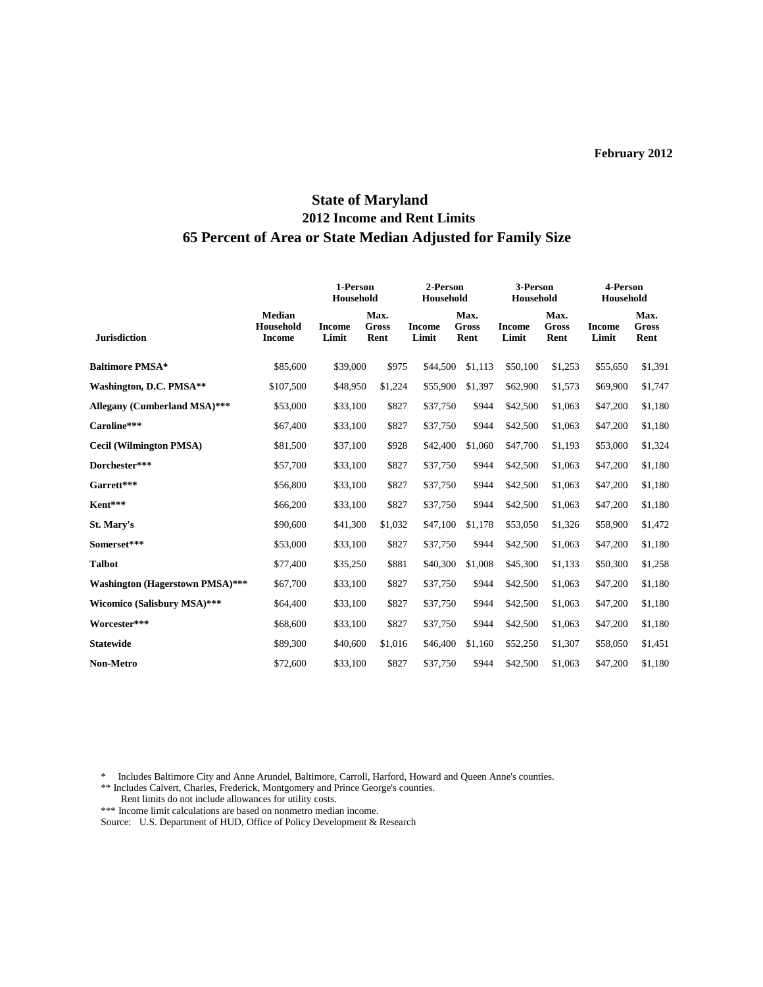# **State of Maryland 2012 Income and Rent Limits 65 Percent of Area or State Median Adjusted for Family Size**

|                                        |                                             | 1-Person<br>Household  |                              | 2-Person<br>Household  |                              | 3-Person<br>Household  |                              | 4-Person<br>Household  |                              |
|----------------------------------------|---------------------------------------------|------------------------|------------------------------|------------------------|------------------------------|------------------------|------------------------------|------------------------|------------------------------|
| <b>Jurisdiction</b>                    | <b>Median</b><br>Household<br><b>Income</b> | <b>Income</b><br>Limit | Max.<br><b>Gross</b><br>Rent | <b>Income</b><br>Limit | Max.<br><b>Gross</b><br>Rent | <b>Income</b><br>Limit | Max.<br><b>Gross</b><br>Rent | <b>Income</b><br>Limit | Max.<br><b>Gross</b><br>Rent |
| <b>Baltimore PMSA*</b>                 | \$85,600                                    | \$39,000               | \$975                        | \$44,500               | \$1,113                      | \$50,100               | \$1,253                      | \$55,650               | \$1,391                      |
| Washington, D.C. PMSA**                | \$107,500                                   | \$48,950               | \$1,224                      | \$55,900               | \$1,397                      | \$62,900               | \$1,573                      | \$69,900               | \$1,747                      |
| <b>Allegany (Cumberland MSA)***</b>    | \$53,000                                    | \$33,100               | \$827                        | \$37,750               | \$944                        | \$42,500               | \$1,063                      | \$47,200               | \$1,180                      |
| Caroline***                            | \$67,400                                    | \$33,100               | \$827                        | \$37,750               | \$944                        | \$42,500               | \$1,063                      | \$47,200               | \$1,180                      |
| <b>Cecil (Wilmington PMSA)</b>         | \$81,500                                    | \$37,100               | \$928                        | \$42,400               | \$1,060                      | \$47,700               | \$1,193                      | \$53,000               | \$1,324                      |
| Dorchester***                          | \$57,700                                    | \$33,100               | \$827                        | \$37,750               | \$944                        | \$42,500               | \$1,063                      | \$47,200               | \$1,180                      |
| Garrett***                             | \$56,800                                    | \$33,100               | \$827                        | \$37,750               | \$944                        | \$42,500               | \$1,063                      | \$47,200               | \$1,180                      |
| Kent***                                | \$66,200                                    | \$33,100               | \$827                        | \$37,750               | \$944                        | \$42,500               | \$1,063                      | \$47,200               | \$1,180                      |
| St. Mary's                             | \$90,600                                    | \$41,300               | \$1,032                      | \$47,100               | \$1,178                      | \$53,050               | \$1,326                      | \$58,900               | \$1,472                      |
| Somerset***                            | \$53,000                                    | \$33,100               | \$827                        | \$37,750               | \$944                        | \$42,500               | \$1,063                      | \$47,200               | \$1,180                      |
| <b>Talbot</b>                          | \$77,400                                    | \$35,250               | \$881                        | \$40,300               | \$1,008                      | \$45,300               | \$1,133                      | \$50,300               | \$1,258                      |
| <b>Washington (Hagerstown PMSA)***</b> | \$67,700                                    | \$33,100               | \$827                        | \$37,750               | \$944                        | \$42,500               | \$1,063                      | \$47,200               | \$1,180                      |
| Wicomico (Salisbury MSA)***            | \$64,400                                    | \$33,100               | \$827                        | \$37,750               | \$944                        | \$42,500               | \$1,063                      | \$47,200               | \$1,180                      |
| Worcester***                           | \$68,600                                    | \$33,100               | \$827                        | \$37,750               | \$944                        | \$42,500               | \$1,063                      | \$47,200               | \$1,180                      |
| <b>Statewide</b>                       | \$89,300                                    | \$40,600               | \$1,016                      | \$46,400               | \$1,160                      | \$52,250               | \$1,307                      | \$58,050               | \$1,451                      |
| <b>Non-Metro</b>                       | \$72,600                                    | \$33,100               | \$827                        | \$37,750               | \$944                        | \$42,500               | \$1,063                      | \$47,200               | \$1,180                      |
|                                        |                                             |                        |                              |                        |                              |                        |                              |                        |                              |

\* Includes Baltimore City and Anne Arundel, Baltimore, Carroll, Harford, Howard and Queen Anne's counties.

\*\* Includes Calvert, Charles, Frederick, Montgomery and Prince George's counties. Rent limits do not include allowances for utility costs.

\*\*\* Income limit calculations are based on nonmetro median income.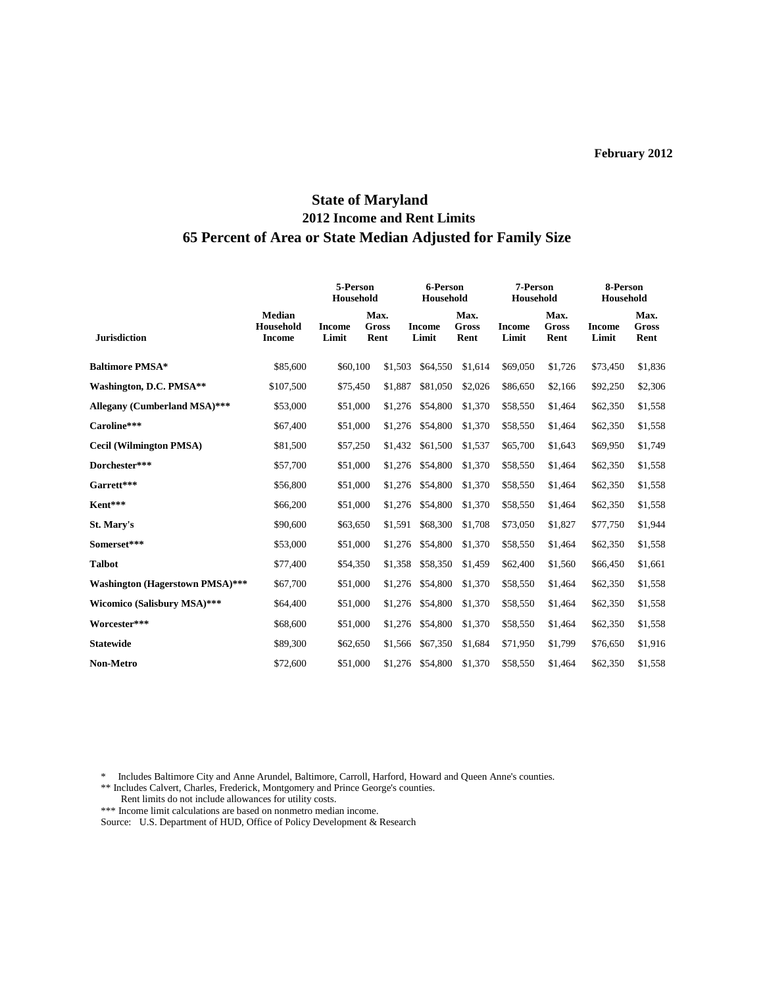# **State of Maryland 2012 Income and Rent Limits 65 Percent of Area or State Median Adjusted for Family Size**

|                                        |                                             | 5-Person<br>Household  |                       | 6-Person<br>Household  |                       | 7-Person<br>Household  |                       | 8-Person<br>Household  |                              |
|----------------------------------------|---------------------------------------------|------------------------|-----------------------|------------------------|-----------------------|------------------------|-----------------------|------------------------|------------------------------|
| <b>Jurisdiction</b>                    | <b>Median</b><br>Household<br><b>Income</b> | <b>Income</b><br>Limit | Max.<br>Gross<br>Rent | <b>Income</b><br>Limit | Max.<br>Gross<br>Rent | <b>Income</b><br>Limit | Max.<br>Gross<br>Rent | <b>Income</b><br>Limit | Max.<br><b>Gross</b><br>Rent |
| <b>Baltimore PMSA*</b>                 | \$85,600                                    | \$60,100               | \$1,503               | \$64,550               | \$1,614               | \$69,050               | \$1,726               | \$73,450               | \$1,836                      |
| Washington, D.C. PMSA**                | \$107,500                                   | \$75,450               | \$1,887               | \$81,050               | \$2,026               | \$86,650               | \$2,166               | \$92,250               | \$2,306                      |
| Allegany (Cumberland MSA)***           | \$53,000                                    | \$51,000               | \$1,276               | \$54,800               | \$1,370               | \$58,550               | \$1,464               | \$62,350               | \$1,558                      |
| Caroline***                            | \$67,400                                    | \$51,000               | \$1,276               | \$54,800               | \$1,370               | \$58,550               | \$1,464               | \$62,350               | \$1,558                      |
| <b>Cecil (Wilmington PMSA)</b>         | \$81,500                                    | \$57,250               | \$1,432               | \$61,500               | \$1,537               | \$65,700               | \$1,643               | \$69,950               | \$1,749                      |
| Dorchester***                          | \$57,700                                    | \$51,000               | \$1,276               | \$54,800               | \$1,370               | \$58,550               | \$1,464               | \$62,350               | \$1,558                      |
| Garrett***                             | \$56,800                                    | \$51,000               | \$1,276               | \$54,800               | \$1,370               | \$58,550               | \$1,464               | \$62,350               | \$1,558                      |
| Kent***                                | \$66,200                                    | \$51,000               | \$1,276               | \$54,800               | \$1,370               | \$58,550               | \$1,464               | \$62,350               | \$1,558                      |
| St. Mary's                             | \$90,600                                    | \$63,650               | \$1,591               | \$68,300               | \$1,708               | \$73,050               | \$1,827               | \$77,750               | \$1,944                      |
| Somerset***                            | \$53,000                                    | \$51,000               | \$1,276               | \$54,800               | \$1,370               | \$58,550               | \$1,464               | \$62,350               | \$1,558                      |
| <b>Talbot</b>                          | \$77,400                                    | \$54,350               | \$1,358               | \$58,350               | \$1,459               | \$62,400               | \$1,560               | \$66,450               | \$1,661                      |
| <b>Washington (Hagerstown PMSA)***</b> | \$67,700                                    | \$51,000               | \$1,276               | \$54,800               | \$1,370               | \$58,550               | \$1,464               | \$62,350               | \$1,558                      |
| Wicomico (Salisbury MSA)***            | \$64,400                                    | \$51,000               | \$1,276               | \$54,800               | \$1,370               | \$58,550               | \$1,464               | \$62,350               | \$1,558                      |
| Worcester***                           | \$68,600                                    | \$51,000               | \$1,276               | \$54,800               | \$1,370               | \$58,550               | \$1,464               | \$62,350               | \$1,558                      |
| <b>Statewide</b>                       | \$89,300                                    | \$62,650               | \$1,566               | \$67,350               | \$1,684               | \$71,950               | \$1,799               | \$76,650               | \$1,916                      |
| <b>Non-Metro</b>                       | \$72,600                                    | \$51,000               | \$1,276               | \$54,800               | \$1,370               | \$58,550               | \$1,464               | \$62,350               | \$1,558                      |
|                                        |                                             |                        |                       |                        |                       |                        |                       |                        |                              |

\* Includes Baltimore City and Anne Arundel, Baltimore, Carroll, Harford, Howard and Queen Anne's counties.

\*\* Includes Calvert, Charles, Frederick, Montgomery and Prince George's counties. Rent limits do not include allowances for utility costs.

\*\*\* Income limit calculations are based on nonmetro median income.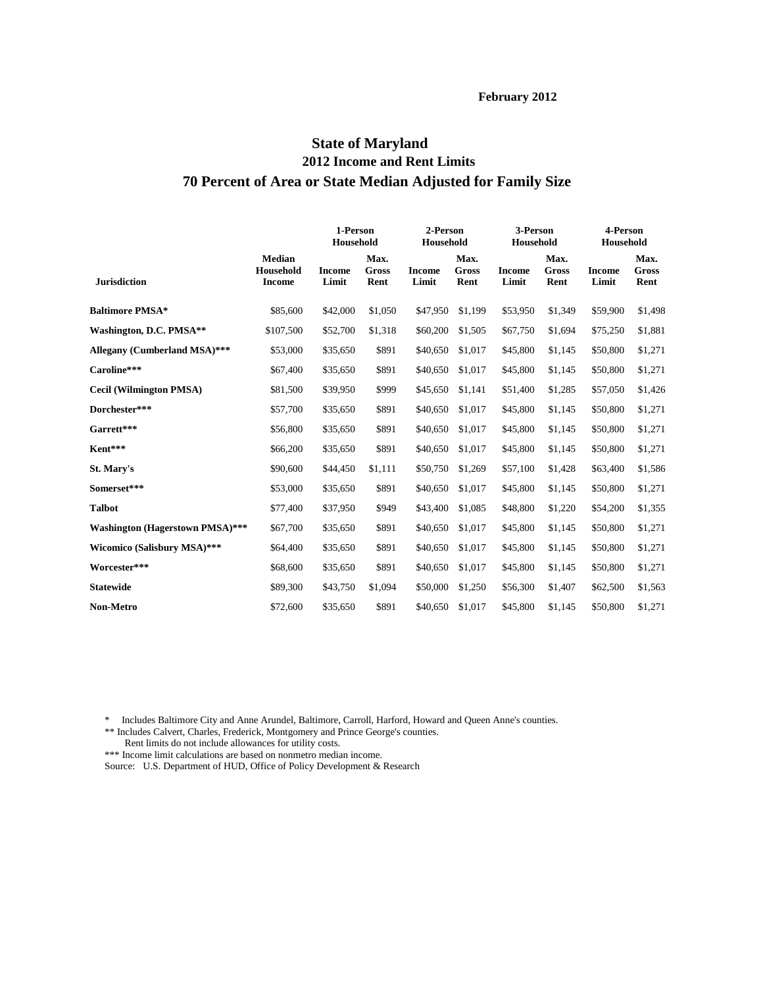## **State of Maryland 2012 Income and Rent Limits 70 Percent of Area or State Median Adjusted for Family Size**

| <b>Jurisdiction</b>                    |                                             | 1-Person<br>Household  |                       | 2-Person<br>Household  |                       | 3-Person<br>Household  |                              | 4-Person<br>Household  |                              |
|----------------------------------------|---------------------------------------------|------------------------|-----------------------|------------------------|-----------------------|------------------------|------------------------------|------------------------|------------------------------|
|                                        | <b>Median</b><br>Household<br><b>Income</b> | <b>Income</b><br>Limit | Max.<br>Gross<br>Rent | <b>Income</b><br>Limit | Max.<br>Gross<br>Rent | <b>Income</b><br>Limit | Max.<br><b>Gross</b><br>Rent | <b>Income</b><br>Limit | Max.<br><b>Gross</b><br>Rent |
| <b>Baltimore PMSA*</b>                 | \$85,600                                    | \$42,000               | \$1,050               | \$47,950               | \$1.199               | \$53,950               | \$1,349                      | \$59,900               | \$1,498                      |
| Washington, D.C. PMSA**                | \$107,500                                   | \$52,700               | \$1,318               | \$60,200               | \$1,505               | \$67,750               | \$1,694                      | \$75,250               | \$1,881                      |
| Allegany (Cumberland MSA)***           | \$53,000                                    | \$35,650               | \$891                 | \$40,650               | \$1,017               | \$45,800               | \$1,145                      | \$50,800               | \$1,271                      |
| Caroline***                            | \$67,400                                    | \$35,650               | \$891                 | \$40,650               | \$1,017               | \$45,800               | \$1,145                      | \$50,800               | \$1,271                      |
| <b>Cecil (Wilmington PMSA)</b>         | \$81,500                                    | \$39,950               | \$999                 | \$45,650               | \$1,141               | \$51,400               | \$1,285                      | \$57,050               | \$1,426                      |
| Dorchester***                          | \$57,700                                    | \$35,650               | \$891                 | \$40,650               | \$1,017               | \$45,800               | \$1,145                      | \$50,800               | \$1,271                      |
| Garrett***                             | \$56,800                                    | \$35,650               | \$891                 | \$40,650               | \$1,017               | \$45,800               | \$1,145                      | \$50,800               | \$1,271                      |
| Kent***                                | \$66,200                                    | \$35,650               | \$891                 | \$40,650               | \$1,017               | \$45,800               | \$1,145                      | \$50,800               | \$1,271                      |
| St. Mary's                             | \$90,600                                    | \$44,450               | \$1,111               | \$50,750               | \$1,269               | \$57,100               | \$1,428                      | \$63,400               | \$1,586                      |
| Somerset***                            | \$53,000                                    | \$35,650               | \$891                 | \$40,650               | \$1,017               | \$45,800               | \$1,145                      | \$50,800               | \$1,271                      |
| <b>Talbot</b>                          | \$77,400                                    | \$37,950               | \$949                 | \$43,400               | \$1,085               | \$48,800               | \$1,220                      | \$54,200               | \$1,355                      |
| <b>Washington (Hagerstown PMSA)***</b> | \$67,700                                    | \$35,650               | \$891                 | \$40,650               | \$1,017               | \$45,800               | \$1,145                      | \$50,800               | \$1,271                      |
| Wicomico (Salisbury MSA)***            | \$64,400                                    | \$35,650               | \$891                 | \$40,650               | \$1,017               | \$45,800               | \$1,145                      | \$50,800               | \$1,271                      |
| Worcester***                           | \$68,600                                    | \$35,650               | \$891                 | \$40,650               | \$1,017               | \$45,800               | \$1,145                      | \$50,800               | \$1,271                      |
| <b>Statewide</b>                       | \$89,300                                    | \$43,750               | \$1,094               | \$50,000               | \$1,250               | \$56,300               | \$1,407                      | \$62,500               | \$1,563                      |
| <b>Non-Metro</b>                       | \$72,600                                    | \$35,650               | \$891                 | \$40,650               | \$1,017               | \$45,800               | \$1,145                      | \$50,800               | \$1,271                      |

\* Includes Baltimore City and Anne Arundel, Baltimore, Carroll, Harford, Howard and Queen Anne's counties.

\*\* Includes Calvert, Charles, Frederick, Montgomery and Prince George's counties.

Rent limits do not include allowances for utility costs.

\*\*\* Income limit calculations are based on nonmetro median income.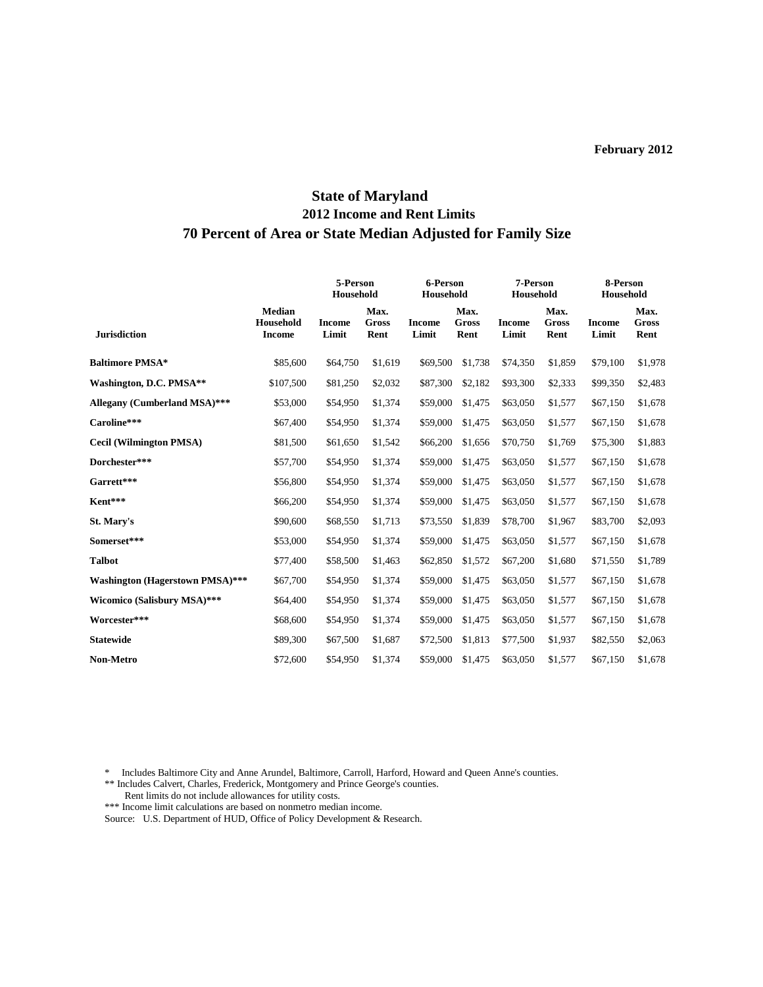# **State of Maryland 2012 Income and Rent Limits 70 Percent of Area or State Median Adjusted for Family Size**

|                                        |                                             | 5-Person<br>Household  |                              | 6-Person<br>Household  |                              | 7-Person<br>Household  |                              | 8-Person<br>Household  |                              |
|----------------------------------------|---------------------------------------------|------------------------|------------------------------|------------------------|------------------------------|------------------------|------------------------------|------------------------|------------------------------|
| <b>Jurisdiction</b>                    | <b>Median</b><br>Household<br><b>Income</b> | <b>Income</b><br>Limit | Max.<br><b>Gross</b><br>Rent | <b>Income</b><br>Limit | Max.<br><b>Gross</b><br>Rent | <b>Income</b><br>Limit | Max.<br><b>Gross</b><br>Rent | <b>Income</b><br>Limit | Max.<br><b>Gross</b><br>Rent |
| <b>Baltimore PMSA*</b>                 | \$85,600                                    | \$64,750               | \$1,619                      | \$69,500               | \$1,738                      | \$74,350               | \$1,859                      | \$79,100               | \$1,978                      |
| Washington, D.C. PMSA**                | \$107,500                                   | \$81,250               | \$2,032                      | \$87,300               | \$2,182                      | \$93,300               | \$2,333                      | \$99,350               | \$2,483                      |
| Allegany (Cumberland MSA)***           | \$53,000                                    | \$54,950               | \$1,374                      | \$59,000               | \$1,475                      | \$63,050               | \$1,577                      | \$67,150               | \$1,678                      |
| Caroline***                            | \$67,400                                    | \$54,950               | \$1,374                      | \$59,000               | \$1,475                      | \$63,050               | \$1,577                      | \$67,150               | \$1,678                      |
| <b>Cecil (Wilmington PMSA)</b>         | \$81,500                                    | \$61,650               | \$1,542                      | \$66,200               | \$1,656                      | \$70,750               | \$1,769                      | \$75,300               | \$1,883                      |
| Dorchester***                          | \$57,700                                    | \$54,950               | \$1,374                      | \$59,000               | \$1,475                      | \$63,050               | \$1,577                      | \$67,150               | \$1,678                      |
| Garrett***                             | \$56,800                                    | \$54,950               | \$1,374                      | \$59,000               | \$1,475                      | \$63,050               | \$1,577                      | \$67,150               | \$1,678                      |
| Kent***                                | \$66,200                                    | \$54,950               | \$1,374                      | \$59,000               | \$1,475                      | \$63,050               | \$1,577                      | \$67,150               | \$1,678                      |
| St. Mary's                             | \$90,600                                    | \$68,550               | \$1,713                      | \$73,550               | \$1,839                      | \$78,700               | \$1,967                      | \$83,700               | \$2,093                      |
| Somerset***                            | \$53,000                                    | \$54,950               | \$1,374                      | \$59,000               | \$1,475                      | \$63,050               | \$1,577                      | \$67,150               | \$1,678                      |
| <b>Talbot</b>                          | \$77,400                                    | \$58,500               | \$1,463                      | \$62,850               | \$1,572                      | \$67,200               | \$1,680                      | \$71,550               | \$1,789                      |
| <b>Washington (Hagerstown PMSA)***</b> | \$67,700                                    | \$54,950               | \$1,374                      | \$59,000               | \$1,475                      | \$63,050               | \$1,577                      | \$67,150               | \$1,678                      |
| <b>Wicomico (Salisbury MSA)***</b>     | \$64,400                                    | \$54,950               | \$1,374                      | \$59,000               | \$1,475                      | \$63,050               | \$1,577                      | \$67,150               | \$1,678                      |
| Worcester***                           | \$68,600                                    | \$54,950               | \$1,374                      | \$59,000               | \$1,475                      | \$63,050               | \$1,577                      | \$67,150               | \$1,678                      |
| <b>Statewide</b>                       | \$89,300                                    | \$67,500               | \$1,687                      | \$72,500               | \$1,813                      | \$77,500               | \$1,937                      | \$82,550               | \$2,063                      |
| Non-Metro                              | \$72,600                                    | \$54,950               | \$1,374                      | \$59,000               | \$1,475                      | \$63,050               | \$1,577                      | \$67,150               | \$1,678                      |

\* Includes Baltimore City and Anne Arundel, Baltimore, Carroll, Harford, Howard and Queen Anne's counties.

\*\* Includes Calvert, Charles, Frederick, Montgomery and Prince George's counties.

 Rent limits do not include allowances for utility costs. \*\*\* Income limit calculations are based on nonmetro median income.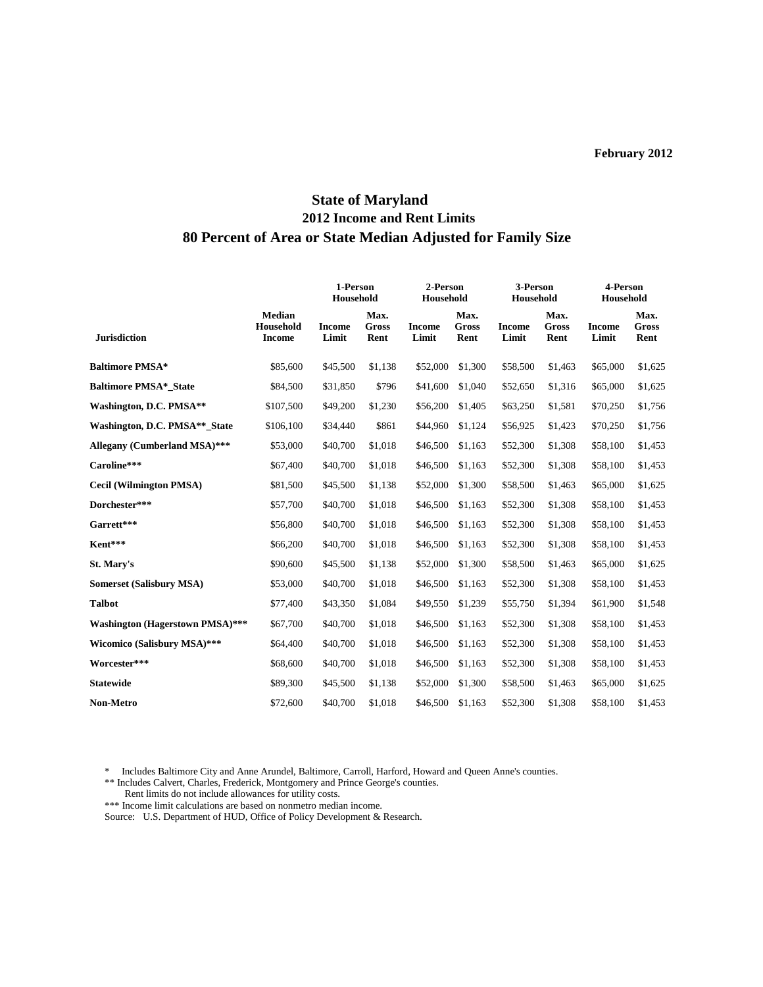# **State of Maryland 2012 Income and Rent Limits 80 Percent of Area or State Median Adjusted for Family Size**

|                                        |                                             | 1-Person<br>Household  |                       | 2-Person<br>Household  |                              | 3-Person<br>Household  |                       | 4-Person<br>Household  |                              |
|----------------------------------------|---------------------------------------------|------------------------|-----------------------|------------------------|------------------------------|------------------------|-----------------------|------------------------|------------------------------|
| <b>Jurisdiction</b>                    | <b>Median</b><br>Household<br><b>Income</b> | <b>Income</b><br>Limit | Max.<br>Gross<br>Rent | <b>Income</b><br>Limit | Max.<br><b>Gross</b><br>Rent | <b>Income</b><br>Limit | Max.<br>Gross<br>Rent | <b>Income</b><br>Limit | Max.<br><b>Gross</b><br>Rent |
| <b>Baltimore PMSA*</b>                 | \$85,600                                    | \$45,500               | \$1,138               | \$52,000               | \$1,300                      | \$58,500               | \$1,463               | \$65,000               | \$1,625                      |
| <b>Baltimore PMSA* State</b>           | \$84,500                                    | \$31,850               | \$796                 | \$41,600               | \$1,040                      | \$52,650               | \$1,316               | \$65,000               | \$1,625                      |
| Washington, D.C. PMSA**                | \$107,500                                   | \$49,200               | \$1,230               | \$56,200               | \$1,405                      | \$63,250               | \$1,581               | \$70,250               | \$1,756                      |
| Washington, D.C. PMSA**_State          | \$106,100                                   | \$34,440               | \$861                 | \$44,960               | \$1,124                      | \$56,925               | \$1,423               | \$70,250               | \$1,756                      |
| Allegany (Cumberland MSA)***           | \$53,000                                    | \$40,700               | \$1,018               | \$46,500               | \$1,163                      | \$52,300               | \$1,308               | \$58,100               | \$1,453                      |
| Caroline***                            | \$67,400                                    | \$40,700               | \$1,018               | \$46,500               | \$1,163                      | \$52,300               | \$1,308               | \$58,100               | \$1,453                      |
| <b>Cecil (Wilmington PMSA)</b>         | \$81,500                                    | \$45,500               | \$1,138               | \$52,000               | \$1,300                      | \$58,500               | \$1,463               | \$65,000               | \$1,625                      |
| Dorchester***                          | \$57,700                                    | \$40,700               | \$1,018               | \$46,500               | \$1,163                      | \$52,300               | \$1,308               | \$58,100               | \$1,453                      |
| Garrett***                             | \$56,800                                    | \$40,700               | \$1,018               | \$46,500               | \$1,163                      | \$52,300               | \$1,308               | \$58,100               | \$1,453                      |
| Kent***                                | \$66,200                                    | \$40,700               | \$1,018               | \$46,500               | \$1,163                      | \$52,300               | \$1,308               | \$58,100               | \$1,453                      |
| St. Mary's                             | \$90,600                                    | \$45,500               | \$1,138               | \$52,000               | \$1,300                      | \$58,500               | \$1,463               | \$65,000               | \$1,625                      |
| <b>Somerset (Salisbury MSA)</b>        | \$53,000                                    | \$40,700               | \$1,018               | \$46,500               | \$1,163                      | \$52,300               | \$1,308               | \$58,100               | \$1,453                      |
| <b>Talbot</b>                          | \$77,400                                    | \$43,350               | \$1,084               | \$49,550               | \$1,239                      | \$55,750               | \$1,394               | \$61,900               | \$1,548                      |
| <b>Washington (Hagerstown PMSA)***</b> | \$67,700                                    | \$40,700               | \$1,018               | \$46,500               | \$1,163                      | \$52,300               | \$1,308               | \$58,100               | \$1,453                      |
| <b>Wicomico (Salisbury MSA)***</b>     | \$64,400                                    | \$40,700               | \$1,018               | \$46,500               | \$1,163                      | \$52,300               | \$1,308               | \$58,100               | \$1,453                      |
| Worcester***                           | \$68,600                                    | \$40,700               | \$1,018               | \$46,500               | \$1,163                      | \$52,300               | \$1,308               | \$58,100               | \$1,453                      |
| <b>Statewide</b>                       | \$89,300                                    | \$45,500               | \$1,138               | \$52,000               | \$1,300                      | \$58,500               | \$1,463               | \$65,000               | \$1,625                      |
| <b>Non-Metro</b>                       | \$72,600                                    | \$40,700               | \$1,018               | \$46,500               | \$1,163                      | \$52,300               | \$1,308               | \$58,100               | \$1,453                      |

\* Includes Baltimore City and Anne Arundel, Baltimore, Carroll, Harford, Howard and Queen Anne's counties.

\*\* Includes Calvert, Charles, Frederick, Montgomery and Prince George's counties.

Rent limits do not include allowances for utility costs.

\*\*\* Income limit calculations are based on nonmetro median income.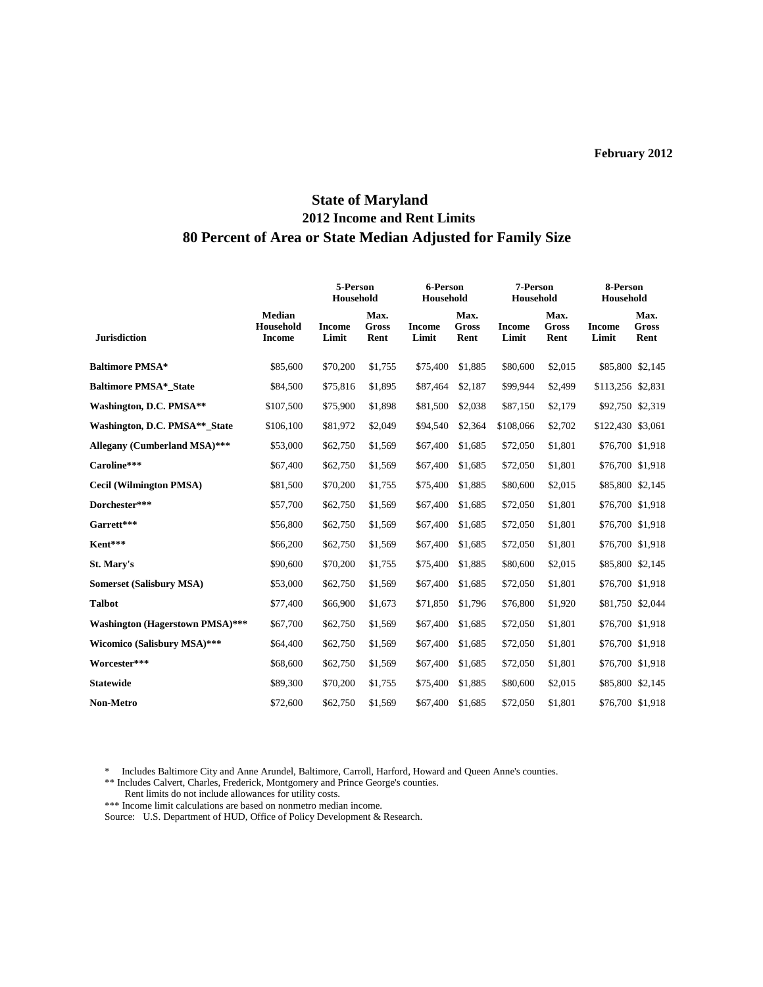# **State of Maryland 2012 Income and Rent Limits 80 Percent of Area or State Median Adjusted for Family Size**

|                                        |                                      | 5-Person<br>Household  |                       | 6-Person<br>Household  |                              | 7-Person<br>Household  |                       | 8-Person<br>Household  |                              |
|----------------------------------------|--------------------------------------|------------------------|-----------------------|------------------------|------------------------------|------------------------|-----------------------|------------------------|------------------------------|
| <b>Jurisdiction</b>                    | Median<br>Household<br><b>Income</b> | <b>Income</b><br>Limit | Max.<br>Gross<br>Rent | <b>Income</b><br>Limit | Max.<br><b>Gross</b><br>Rent | <b>Income</b><br>Limit | Max.<br>Gross<br>Rent | <b>Income</b><br>Limit | Max.<br><b>Gross</b><br>Rent |
| <b>Baltimore PMSA*</b>                 | \$85,600                             | \$70,200               | \$1,755               | \$75,400               | \$1,885                      | \$80,600               | \$2,015               | \$85,800 \$2,145       |                              |
| <b>Baltimore PMSA* State</b>           | \$84,500                             | \$75,816               | \$1,895               | \$87,464               | \$2,187                      | \$99,944               | \$2,499               | \$113,256 \$2,831      |                              |
| Washington, D.C. PMSA**                | \$107,500                            | \$75,900               | \$1,898               | \$81,500               | \$2,038                      | \$87,150               | \$2,179               | \$92,750 \$2,319       |                              |
| Washington, D.C. PMSA** State          | \$106,100                            | \$81,972               | \$2,049               | \$94,540               | \$2,364                      | \$108,066              | \$2,702               | \$122,430 \$3,061      |                              |
| Allegany (Cumberland MSA)***           | \$53,000                             | \$62,750               | \$1,569               | \$67,400               | \$1,685                      | \$72,050               | \$1,801               | \$76,700 \$1,918       |                              |
| Caroline***                            | \$67,400                             | \$62,750               | \$1,569               | \$67,400               | \$1,685                      | \$72,050               | \$1,801               | \$76,700 \$1,918       |                              |
| <b>Cecil (Wilmington PMSA)</b>         | \$81,500                             | \$70,200               | \$1,755               | \$75,400               | \$1,885                      | \$80,600               | \$2,015               | \$85,800 \$2,145       |                              |
| Dorchester***                          | \$57,700                             | \$62,750               | \$1,569               | \$67,400               | \$1,685                      | \$72,050               | \$1,801               | \$76,700 \$1,918       |                              |
| Garrett***                             | \$56,800                             | \$62,750               | \$1,569               | \$67,400               | \$1,685                      | \$72,050               | \$1,801               | \$76,700 \$1,918       |                              |
| Kent***                                | \$66,200                             | \$62,750               | \$1,569               | \$67,400               | \$1,685                      | \$72,050               | \$1,801               | \$76,700 \$1,918       |                              |
| St. Mary's                             | \$90,600                             | \$70,200               | \$1,755               | \$75,400               | \$1,885                      | \$80,600               | \$2,015               | \$85,800 \$2,145       |                              |
| <b>Somerset (Salisbury MSA)</b>        | \$53,000                             | \$62,750               | \$1,569               | \$67,400               | \$1,685                      | \$72,050               | \$1,801               | \$76,700 \$1,918       |                              |
| <b>Talbot</b>                          | \$77,400                             | \$66,900               | \$1,673               | \$71,850               | \$1,796                      | \$76,800               | \$1,920               | \$81,750 \$2,044       |                              |
| <b>Washington (Hagerstown PMSA)***</b> | \$67,700                             | \$62,750               | \$1,569               | \$67,400               | \$1,685                      | \$72,050               | \$1,801               |                        | \$76,700 \$1,918             |
| <b>Wicomico (Salisbury MSA)***</b>     | \$64,400                             | \$62,750               | \$1,569               | \$67,400               | \$1,685                      | \$72,050               | \$1,801               | \$76,700 \$1,918       |                              |
| Worcester***                           | \$68,600                             | \$62,750               | \$1,569               | \$67,400               | \$1,685                      | \$72,050               | \$1,801               | \$76,700 \$1,918       |                              |
| <b>Statewide</b>                       | \$89,300                             | \$70,200               | \$1,755               | \$75,400               | \$1,885                      | \$80,600               | \$2,015               | \$85,800 \$2,145       |                              |
| <b>Non-Metro</b>                       | \$72,600                             | \$62,750               | \$1,569               | \$67,400               | \$1,685                      | \$72,050               | \$1,801               |                        | \$76,700 \$1,918             |

\* Includes Baltimore City and Anne Arundel, Baltimore, Carroll, Harford, Howard and Queen Anne's counties.

\*\* Includes Calvert, Charles, Frederick, Montgomery and Prince George's counties.

Rent limits do not include allowances for utility costs.

\*\*\* Income limit calculations are based on nonmetro median income.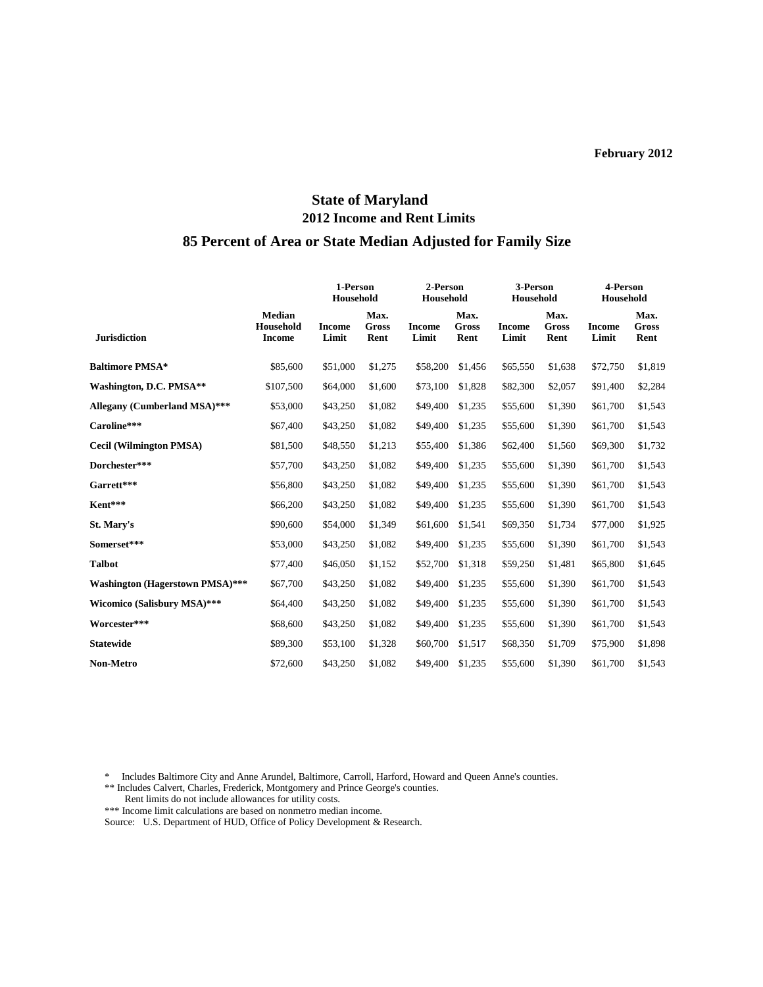# **State of Maryland 2012 Income and Rent Limits**

#### **85 Percent of Area or State Median Adjusted for Family Size**

|                                        |                                             | 1-Person<br>Household  |                       | 2-Person<br>Household  |                       | 3-Person<br>Household  |                       | 4-Person<br>Household  |                       |
|----------------------------------------|---------------------------------------------|------------------------|-----------------------|------------------------|-----------------------|------------------------|-----------------------|------------------------|-----------------------|
| <b>Jurisdiction</b>                    | <b>Median</b><br>Household<br><b>Income</b> | <b>Income</b><br>Limit | Max.<br>Gross<br>Rent | <b>Income</b><br>Limit | Max.<br>Gross<br>Rent | <b>Income</b><br>Limit | Max.<br>Gross<br>Rent | <b>Income</b><br>Limit | Max.<br>Gross<br>Rent |
| <b>Baltimore PMSA*</b>                 | \$85,600                                    | \$51,000               | \$1,275               | \$58,200               | \$1,456               | \$65,550               | \$1,638               | \$72,750               | \$1,819               |
| Washington, D.C. PMSA**                | \$107,500                                   | \$64,000               | \$1,600               | \$73,100               | \$1,828               | \$82,300               | \$2,057               | \$91,400               | \$2,284               |
| Allegany (Cumberland MSA)***           | \$53,000                                    | \$43,250               | \$1,082               | \$49,400               | \$1,235               | \$55,600               | \$1,390               | \$61,700               | \$1,543               |
| Caroline***                            | \$67,400                                    | \$43,250               | \$1,082               | \$49,400               | \$1,235               | \$55,600               | \$1,390               | \$61,700               | \$1,543               |
| <b>Cecil (Wilmington PMSA)</b>         | \$81,500                                    | \$48,550               | \$1,213               | \$55,400               | \$1,386               | \$62,400               | \$1,560               | \$69,300               | \$1,732               |
| Dorchester***                          | \$57,700                                    | \$43,250               | \$1,082               | \$49,400               | \$1,235               | \$55,600               | \$1,390               | \$61,700               | \$1,543               |
| Garrett***                             | \$56,800                                    | \$43,250               | \$1,082               | \$49,400               | \$1,235               | \$55,600               | \$1,390               | \$61,700               | \$1,543               |
| Kent***                                | \$66,200                                    | \$43,250               | \$1,082               | \$49,400               | \$1,235               | \$55,600               | \$1,390               | \$61,700               | \$1,543               |
| St. Mary's                             | \$90,600                                    | \$54,000               | \$1,349               | \$61,600               | \$1,541               | \$69,350               | \$1,734               | \$77,000               | \$1,925               |
| Somerset***                            | \$53,000                                    | \$43,250               | \$1,082               | \$49,400               | \$1,235               | \$55,600               | \$1,390               | \$61,700               | \$1,543               |
| <b>Talbot</b>                          | \$77,400                                    | \$46,050               | \$1,152               | \$52,700               | \$1,318               | \$59,250               | \$1,481               | \$65,800               | \$1,645               |
| <b>Washington (Hagerstown PMSA)***</b> | \$67,700                                    | \$43,250               | \$1,082               | \$49,400               | \$1,235               | \$55,600               | \$1,390               | \$61,700               | \$1,543               |
| Wicomico (Salisbury MSA)***            | \$64,400                                    | \$43,250               | \$1,082               | \$49,400               | \$1,235               | \$55,600               | \$1,390               | \$61,700               | \$1,543               |
| Worcester***                           | \$68,600                                    | \$43,250               | \$1,082               | \$49,400               | \$1,235               | \$55,600               | \$1,390               | \$61,700               | \$1,543               |
| <b>Statewide</b>                       | \$89,300                                    | \$53,100               | \$1,328               | \$60,700               | \$1,517               | \$68,350               | \$1,709               | \$75,900               | \$1,898               |
| <b>Non-Metro</b>                       | \$72,600                                    | \$43,250               | \$1,082               | \$49,400               | \$1,235               | \$55,600               | \$1,390               | \$61,700               | \$1,543               |

\* Includes Baltimore City and Anne Arundel, Baltimore, Carroll, Harford, Howard and Queen Anne's counties.

- \*\* Includes Calvert, Charles, Frederick, Montgomery and Prince George's counties.
- Rent limits do not include allowances for utility costs.

\*\*\* Income limit calculations are based on nonmetro median income.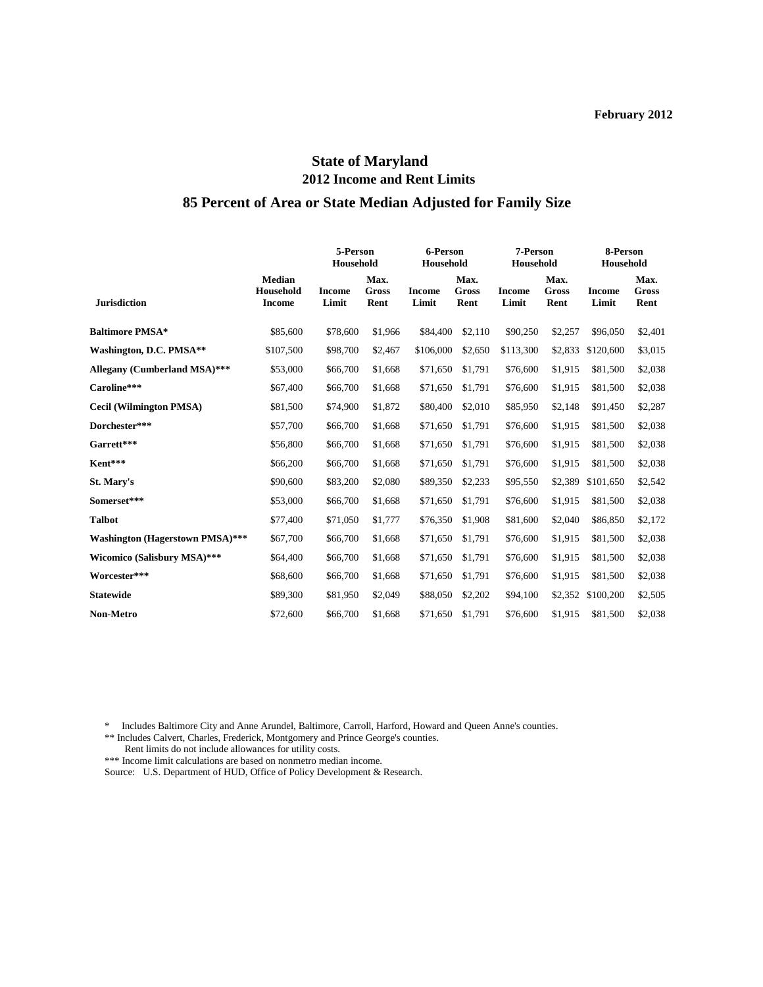# **State of Maryland 2012 Income and Rent Limits 85 Percent of Area or State Median Adjusted for Family Size**

# **5-Person 6-Person 7-Person 8-Person Household Household Household Household Median Max. Max. Max. Max. Household Income Gross Income Gross Income Gross Income Gross Jurisdiction Income Limit Rent Limit Rent Limit Rent Limit Rent Baltimore PMSA\*** \$85,600 \$78,600 \$1,966 \$84,400 \$2,110 \$90,250 \$2,257 \$96,050 \$2,401 **Washington, D.C. PMSA\*\*** \$107,500 \$98,700 \$2,467 \$106,000 \$2,650 \$113,300 \$2,833 \$120,600 \$3,015 **Allegany (Cumberland MSA)\*\*\*** \$53,000 \$66,700 \$1,668 \$71,650 \$1,791 \$76,600 \$1,915 \$81,500 \$2,038 **Caroline\*\*\*** \$67,400 \$66,700 \$1,668 \$71,650 \$1,791 \$76,600 \$1,915 \$81,500 \$2,038 **Cecil (Wilmington PMSA)** \$81,500 \$74,900 \$1,872 \$80,400 \$2,010 \$85,950 \$2,148 \$91,450 \$2,287 **Dorchester\*\*\*** \$57,700 \$66,700 \$1,668 \$71,650 \$1,791 \$76,600 \$1,915 \$81,500 \$2,038 **Garrett\*\*\*** \$56,800 \$66,700 \$1,668 \$71,650 \$1,791 \$76,600 \$1,915 \$81,500 \$2,038 **Kent\*\*\*** \$66,200 \$66,700 \$1,668 \$71,650 \$1,791 \$76,600 \$1,915 \$81,500 \$2,038 **St. Mary's** \$90,600 \$83,200 \$2,080 \$89,350 \$2,233 \$95,550 \$2,389 \$101,650 \$2,542 **Somerset\*\*\*** \$53,000 \$66,700 \$1,668 \$71,650 \$1,791 \$76,600 \$1,915 \$81,500 \$2,038 **Talbot** \$77,400 \$71,050 \$1,777 \$76,350 \$1,908 \$81,600 \$2,040 \$86,850 \$2,172 **Washington (Hagerstown PMSA)\*\*\*** \$67,700 \$66,700 \$1,668 \$71,650 \$1,791 \$76,600 \$1,915 \$81,500 \$2,038 **Wicomico (Salisbury MSA)\*\*\*** \$64,400 \$66,700 \$1,668 \$71,650 \$1,791 \$76,600 \$1,915 \$81,500 \$2,038 **Worcester\*\*\*** \$68,600 \$66,700 \$1,668 \$71,650 \$1,791 \$76,600 \$1,915 \$81,500 \$2,038 **Statewide** \$89,300 \$81,950 \$2,049 \$88,050 \$2,202 \$94,100 \$2,352 \$100,200 \$2,505 **Non-Metro** \$72,600 \$66,700 \$1,668 \$71,650 \$1,791 \$76,600 \$1,915 \$81,500 \$2,038

Includes Baltimore City and Anne Arundel, Baltimore, Carroll, Harford, Howard and Queen Anne's counties.

\*\* Includes Calvert, Charles, Frederick, Montgomery and Prince George's counties.

Rent limits do not include allowances for utility costs.

\*\*\* Income limit calculations are based on nonmetro median income.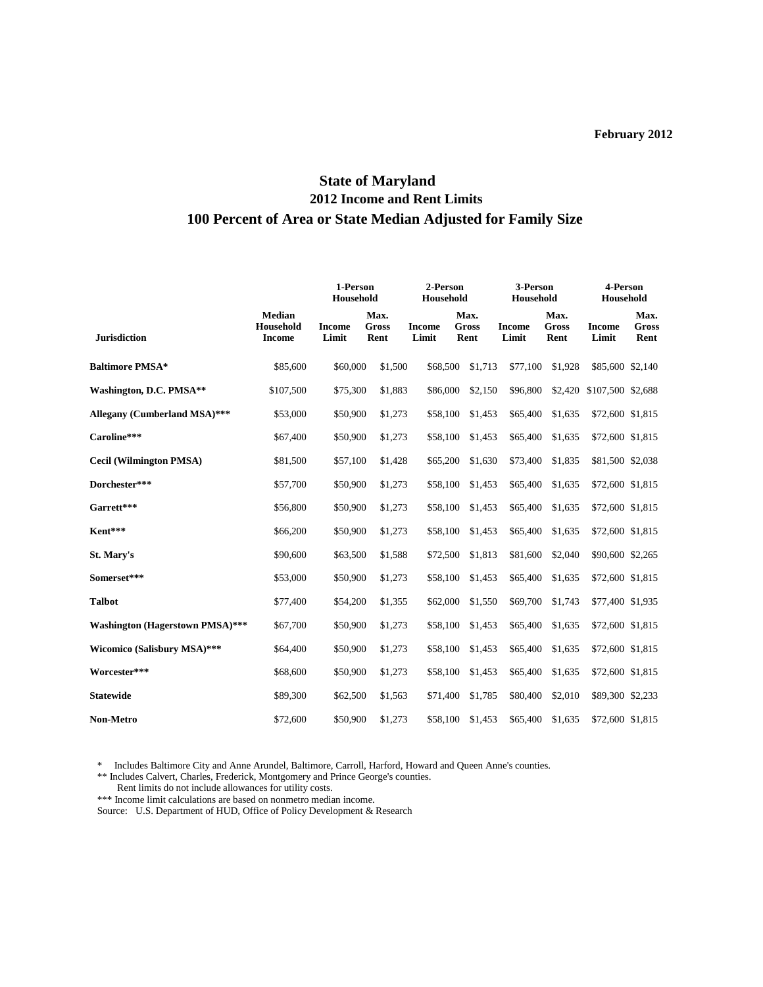# **State of Maryland 2012 Income and Rent Limits 100 Percent of Area or State Median Adjusted for Family Size**

|                                        |                                             | 1-Person<br>Household  |                              | 2-Person<br>Household  |                              | 3-Person<br>Household  |                       | 4-Person<br>Household  |                              |
|----------------------------------------|---------------------------------------------|------------------------|------------------------------|------------------------|------------------------------|------------------------|-----------------------|------------------------|------------------------------|
| <b>Jurisdiction</b>                    | <b>Median</b><br>Household<br><b>Income</b> | <b>Income</b><br>Limit | Max.<br><b>Gross</b><br>Rent | <b>Income</b><br>Limit | Max.<br><b>Gross</b><br>Rent | <b>Income</b><br>Limit | Max.<br>Gross<br>Rent | <b>Income</b><br>Limit | Max.<br><b>Gross</b><br>Rent |
| <b>Baltimore PMSA*</b>                 | \$85,600                                    | \$60,000               | \$1,500                      | \$68,500               | \$1,713                      | \$77,100               | \$1,928               | \$85,600 \$2,140       |                              |
| Washington, D.C. PMSA**                | \$107,500                                   | \$75,300               | \$1,883                      | \$86,000               | \$2,150                      | \$96,800               | \$2,420               | \$107,500 \$2,688      |                              |
| Allegany (Cumberland MSA)***           | \$53,000                                    | \$50,900               | \$1,273                      | \$58,100               | \$1,453                      | \$65,400               | \$1,635               | \$72,600 \$1,815       |                              |
| Caroline***                            | \$67,400                                    | \$50,900               | \$1,273                      | \$58,100               | \$1,453                      | \$65,400               | \$1,635               | \$72,600 \$1,815       |                              |
| <b>Cecil (Wilmington PMSA)</b>         | \$81,500                                    | \$57,100               | \$1,428                      | \$65,200               | \$1,630                      | \$73,400               | \$1,835               | \$81,500 \$2,038       |                              |
| Dorchester***                          | \$57,700                                    | \$50,900               | \$1,273                      | \$58,100               | \$1,453                      | \$65,400               | \$1,635               | \$72,600 \$1,815       |                              |
| Garrett***                             | \$56,800                                    | \$50,900               | \$1,273                      | \$58,100               | \$1,453                      | \$65,400               | \$1,635               | \$72,600 \$1,815       |                              |
| Kent***                                | \$66,200                                    | \$50,900               | \$1,273                      | \$58,100               | \$1,453                      | \$65,400               | \$1,635               | \$72,600 \$1,815       |                              |
| St. Mary's                             | \$90,600                                    | \$63,500               | \$1,588                      | \$72,500               | \$1,813                      | \$81,600               | \$2,040               | \$90,600 \$2,265       |                              |
| Somerset***                            | \$53,000                                    | \$50,900               | \$1,273                      | \$58,100               | \$1,453                      | \$65,400               | \$1,635               | \$72,600 \$1,815       |                              |
| <b>Talbot</b>                          | \$77,400                                    | \$54,200               | \$1,355                      | \$62,000               | \$1,550                      | \$69,700               | \$1,743               | \$77,400 \$1,935       |                              |
| <b>Washington (Hagerstown PMSA)***</b> | \$67,700                                    | \$50,900               | \$1,273                      | \$58,100               | \$1,453                      | \$65,400               | \$1,635               | \$72,600 \$1,815       |                              |
| Wicomico (Salisbury MSA)***            | \$64,400                                    | \$50,900               | \$1,273                      | \$58,100               | \$1,453                      | \$65,400               | \$1,635               | \$72,600 \$1,815       |                              |
| Worcester***                           | \$68,600                                    | \$50,900               | \$1,273                      | \$58,100               | \$1,453                      | \$65,400               | \$1,635               | \$72,600 \$1,815       |                              |
| <b>Statewide</b>                       | \$89,300                                    | \$62,500               | \$1,563                      | \$71,400               | \$1,785                      | \$80,400               | \$2,010               | \$89,300 \$2,233       |                              |
| <b>Non-Metro</b>                       | \$72,600                                    | \$50,900               | \$1,273                      | \$58,100               | \$1,453                      | \$65,400               | \$1,635               | \$72,600 \$1,815       |                              |

\* Includes Baltimore City and Anne Arundel, Baltimore, Carroll, Harford, Howard and Queen Anne's counties.

\*\* Includes Calvert, Charles, Frederick, Montgomery and Prince George's counties.

Rent limits do not include allowances for utility costs.

\*\*\* Income limit calculations are based on nonmetro median income.